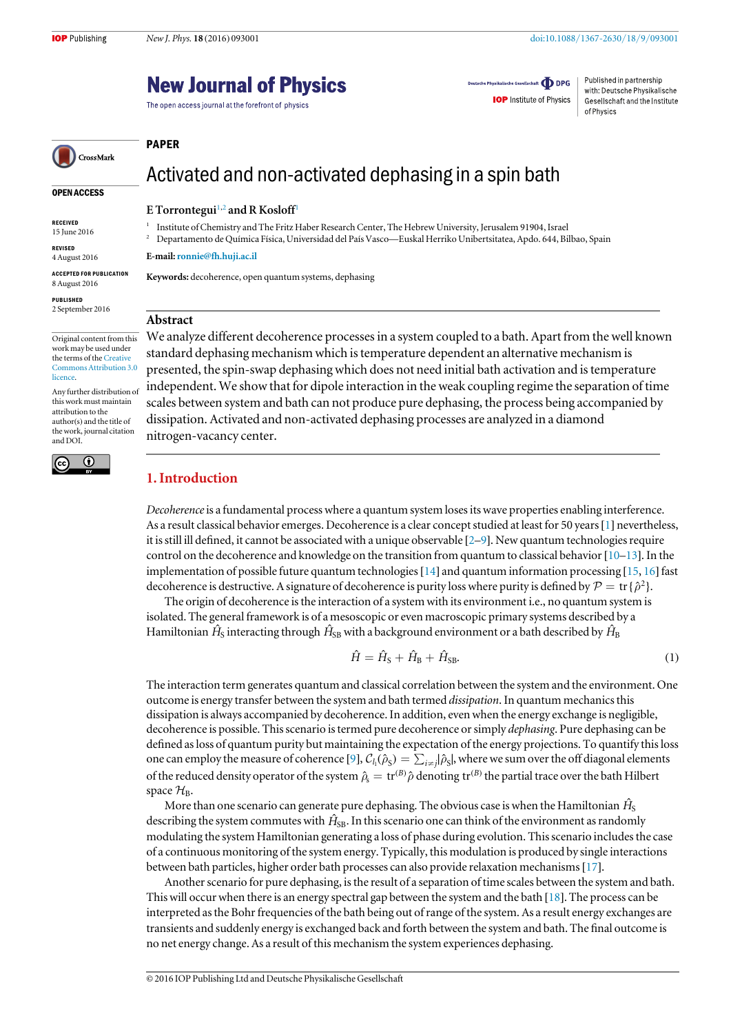# **New Journal of Physics**

The open access journal at the forefront of physics

Deutsche Physikalische Gesellschaft **ODPG** 

**IOP** Institute of Physics

Published in partnership with: Deutsche Physikalische Gesellschaft and the Institute of Physics

# CrossMark

#### OPEN ACCESS

RECEIVED 15 June 2016

REVISED 4 August 2016

ACCEPTED FOR PUBLICATION

8 August 2016 PUBLISHED 2 September 2016

Original content from this work may be used under the terms of the [Creative](http://creativecommons.org/licenses/by/3.0) [Commons Attribution 3.0](http://creativecommons.org/licenses/by/3.0) [licence.](http://creativecommons.org/licenses/by/3.0)

Any further distribution of this work must maintain attribution to the author(s) and the title of the work, journal citation and DOI.



## Activated and non-activated dephasing in a spin bath

#### E Torrontegui<sup>[1](#page-0-0)[,2](#page-0-1)</sup> and R Kosloff<sup>1</sup>

<span id="page-0-0"></span><sup>1</sup> Institute of Chemistry and The Fritz Haber Research Center, The Hebrew University, Jerusalem 91904, Israel

<span id="page-0-1"></span><sup>2</sup> Departamento de Química Física, Universidad del País Vasco—Euskal Herriko Unibertsitatea, Apdo. 644, Bilbao, Spain

E-mail:[ronnie@fh.huji.ac.il](mailto:ronnie@fh.huji.ac.il)

Keywords: decoherence, open quantum systems, dephasing

#### Abstract

PAPER

We analyze different decoherence processes in a system coupled to a bath. Apart from the well known standard dephasing mechanism which is temperature dependent an alternative mechanism is presented, the spin-swap dephasing which does not need initial bath activation and is temperature independent. We show that for dipole interaction in the weak coupling regime the separation of time scales between system and bath can not produce pure dephasing, the process being accompanied by dissipation. Activated and non-activated dephasing processes are analyzed in a diamond nitrogen-vacancy center.

### 1. Introduction

Decoherence is a fundamental process where a quantum system loses its wave properties enabling interference. As a result classical behavior emerges. Decoherence is a clear concept studied at least for 50 years[[1](#page-12-0)] nevertheless, it is still ill defined, it cannot be associated with a unique observable [[2](#page-12-1)–[9](#page-12-2)]. New quantum technologies require control on the decoherence and knowledge on the transition from quantum to classical behavior [[10](#page-12-3)–[13](#page-12-4)]. In the implementation of possible future quantum technologies[[14](#page-12-5)] and quantum information processing [[15](#page-12-6), [16](#page-12-7)] fast decoherence is destructive. A signature of decoherence is purity loss where purity is defined by  $\mathcal{P} = \text{tr} \{\hat{\rho}^2\}$ .

<span id="page-0-2"></span>The origin of decoherence is the interaction of a system with its environment i.e., no quantum system is isolated. The general framework is of a mesoscopic or even macroscopic primary systems described by a Hamiltonian  $\hat{H}_{\rm S}$  interacting through  $\hat{H}_{\rm SB}$  with a background environment or a bath described by  $\hat{H}_{\rm B}$ 

$$
\hat{H} = \hat{H}_{\rm S} + \hat{H}_{\rm B} + \hat{H}_{\rm SB}.
$$
\n(1)

The interaction term generates quantum and classical correlation between the system and the environment. One outcome is energy transfer between the system and bath termed dissipation. In quantum mechanics this dissipation is always accompanied by decoherence. In addition, even when the energy exchange is negligible, decoherence is possible. This scenario is termed pure decoherence or simply dephasing. Pure dephasing can be defined as loss of quantum purity but maintaining the expectation of the energy projections. To quantify this loss one can employ the measure of coherence [[9](#page-12-2)],  $C_{l_1}(\hat{\rho}_S) = \sum_{i\neq j} |\hat{\rho}_S|$ , where we sum over the off diagonal elements of the reduced density operator of the system  $\hat{\rho}_s = \text{tr}^{(B)}\hat{\rho}$  denoting  $\text{tr}^{(B)}$  the partial trace over the bath Hilbert space  $\mathcal{H}_B$ .

More than one scenario can generate pure dephasing. The obvious case is when the Hamiltonian  $\hat{H}_{\textrm{S}}$ describing the system commutes with  $\hat{H}_{\rm SB}$ . In this scenario one can think of the environment as randomly modulating the system Hamiltonian generating a loss of phase during evolution. This scenario includes the case of a continuous monitoring of the system energy. Typically, this modulation is produced by single interactions between bath particles, higher order bath processes can also provide relaxation mechanisms[[17](#page-12-8)].

Another scenario for pure dephasing, is the result of a separation of time scales between the system and bath. This will occur when there is an energy spectral gap between the system and the bath [[18](#page-12-9)]. The process can be interpreted as the Bohr frequencies of the bath being out of range of the system. As a result energy exchanges are transients and suddenly energy is exchanged back and forth between the system and bath. The final outcome is no net energy change. As a result of this mechanism the system experiences dephasing.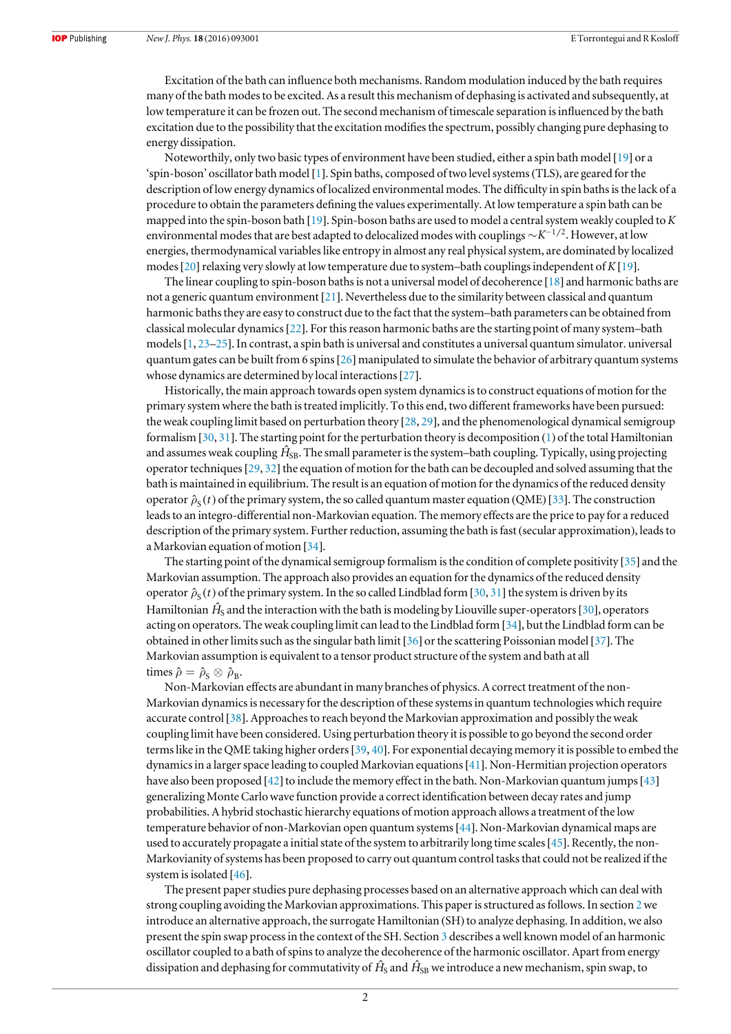Excitation of the bath can influence both mechanisms. Random modulation induced by the bath requires many of the bath modes to be excited. As a result this mechanism of dephasing is activated and subsequently, at low temperature it can be frozen out. The second mechanism of timescale separation is influenced by the bath excitation due to the possibility that the excitation modifies the spectrum, possibly changing pure dephasing to energy dissipation.

Noteworthily, only two basic types of environment have been studied, either a spin bath model [[19](#page-12-10)] or a 'spin-boson' oscillator bath model [[1](#page-12-0)]. Spin baths, composed of two level systems(TLS), are geared for the description of low energy dynamics of localized environmental modes. The difficulty in spin baths is the lack of a procedure to obtain the parameters defining the values experimentally. At low temperature a spin bath can be mapped into the spin-boson bath [[19](#page-12-10)]. Spin-boson baths are used to model a central system weakly coupled to K environmental modes that are best adapted to delocalized modes with couplings  $\sim K^{-1/2}$ . However, at low energies, thermodynamical variables like entropy in almost any real physical system, are dominated by localized modes [[20](#page-12-11)] relaxing very slowly at low temperature due to system–bath couplings independent of  $K[19]$  $K[19]$  $K[19]$ .

The linear coupling to spin-boson baths is not a universal model of decoherence [[18](#page-12-9)] and harmonic baths are not a generic quantum environment [[21](#page-12-12)]. Nevertheless due to the similarity between classical and quantum harmonic baths they are easy to construct due to the fact that the system–bath parameters can be obtained from classical molecular dynamics[[22](#page-12-13)]. For this reason harmonic baths are the starting point of many system–bath models  $[1, 23-25]$  $[1, 23-25]$  $[1, 23-25]$  $[1, 23-25]$  $[1, 23-25]$  $[1, 23-25]$  $[1, 23-25]$ . In contrast, a spin bath is universal and constitutes a universal quantum simulator, universal quantum gates can be built from 6 spins[[26](#page-12-16)] manipulated to simulate the behavior of arbitrary quantum systems whose dynamics are determined by local interactions [[27](#page-12-17)].

Historically, the main approach towards open system dynamics is to construct equations of motion for the primary system where the bath is treated implicitly. To this end, two different frameworks have been pursued: the weak coupling limit based on perturbation theory [[28](#page-12-18), [29](#page-12-19)], and the phenomenological dynamical semigroup formalism [[30](#page-12-20), [31](#page-13-0)]. The starting point for the perturbation theory is decomposition ([1](#page-0-2)) of the total Hamiltonian and assumes weak coupling  $\hat{H}_{\rm SB}$ . The small parameter is the system–bath coupling. Typically, using projecting operator techniques  $[29, 32]$  $[29, 32]$  $[29, 32]$  $[29, 32]$  $[29, 32]$  the equation of motion for the bath can be decoupled and solved assuming that the bath is maintained in equilibrium. The result is an equation of motion for the dynamics of the reduced density operator  $\hat{\rho}_s(t)$  of the primary system, the so called quantum master equation (QME) [[33](#page-13-2)]. The construction leads to an integro-differential non-Markovian equation. The memory effects are the price to pay for a reduced description of the primary system. Further reduction, assuming the bath is fast (secular approximation), leads to a Markovian equation of motion [[34](#page-13-3)].

The starting point of the dynamical semigroup formalism is the condition of complete positivity [[35](#page-13-4)] and the Markovian assumption. The approach also provides an equation for the dynamics of the reduced density operator  $\hat{\rho}_s(t)$  of the primary system. In the so called Lindblad form [[30](#page-12-20), [31](#page-13-0)] the system is driven by its Hamiltonian  $\hat{H}_{\rm S}$  and the interaction with the bath is modeling by Liouville super-operators [[30](#page-12-20)], operators acting on operators. The weak coupling limit can lead to the Lindblad form [[34](#page-13-3)], but the Lindblad form can be obtained in other limits such as the singular bath limit [[36](#page-13-5)] or the scattering Poissonian model [[37](#page-13-6)]. The Markovian assumption is equivalent to a tensor product structure of the system and bath at all times  $\hat{\rho} = \hat{\rho}_{\rm S} \otimes \hat{\rho}_{\rm B}$ .

Non-Markovian effects are abundant in many branches of physics. A correct treatment of the non-Markovian dynamics is necessary for the description of these systems in quantum technologies which require accurate control [[38](#page-13-7)]. Approaches to reach beyond the Markovian approximation and possibly the weak coupling limit have been considered. Using perturbation theory it is possible to go beyond the second order terms like in the QME taking higher orders[[39,](#page-13-8) [40](#page-13-9)]. For exponential decaying memory it is possible to embed the dynamics in a larger space leading to coupled Markovian equations[[41](#page-13-10)]. Non-Hermitian projection operators have also been proposed [[42](#page-13-11)] to include the memory effect in the bath. Non-Markovian quantum jumps [[43](#page-13-12)] generalizing Monte Carlo wave function provide a correct identification between decay rates and jump probabilities. A hybrid stochastic hierarchy equations of motion approach allows a treatment of the low temperature behavior of non-Markovian open quantum systems[[44](#page-13-13)]. Non-Markovian dynamical maps are used to accurately propagate a initial state of the system to arbitrarily long time scales[[45](#page-13-14)]. Recently, the non-Markovianity of systems has been proposed to carry out quantum control tasks that could not be realized if the system is isolated [[46](#page-13-15)].

The present paper studies pure dephasing processes based on an alternative approach which can deal with strong coupling avoiding the Markovian approximations. This paper is structured as follows. In section [2](#page-2-0)we introduce an alternative approach, the surrogate Hamiltonian (SH) to analyze dephasing. In addition, we also present the spin swap process in the context of the SH. Section [3](#page-5-0) describes a well known model of an harmonic oscillator coupled to a bath of spins to analyze the decoherence of the harmonic oscillator. Apart from energy dissipation and dephasing for commutativity of  $\hat H_{\rm S}$  and  $\hat H_{\rm SB}$  we introduce a new mechanism, spin swap, to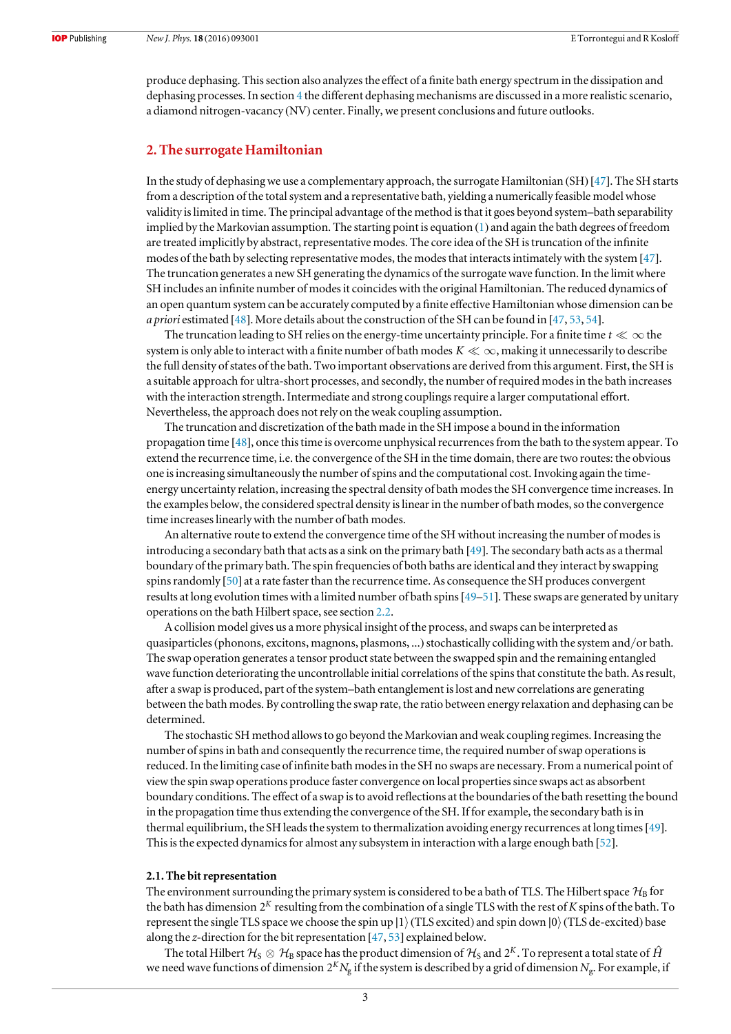produce dephasing. This section also analyzes the effect of a finite bath energy spectrum in the dissipation and dephasing processes. In section [4](#page-9-0) the different dephasing mechanisms are discussed in a more realistic scenario, a diamond nitrogen-vacancy (NV) center. Finally, we present conclusions and future outlooks.

#### <span id="page-2-0"></span>2. The surrogate Hamiltonian

In the study of dephasing we use a complementary approach, the surrogate Hamiltonian (SH) [[47](#page-13-16)]. The SH starts from a description of the total system and a representative bath, yielding a numerically feasible model whose validity is limited in time. The principal advantage of the method is that it goes beyond system–bath separability implied by the Markovian assumption. The starting point is equation ([1](#page-0-2)) and again the bath degrees of freedom are treated implicitly by abstract, representative modes. The core idea of the SH is truncation of the infinite modes of the bath by selecting representative modes, the modes that interacts intimately with the system [[47](#page-13-16)]. The truncation generates a new SH generating the dynamics of the surrogate wave function. In the limit where SH includes an infinite number of modes it coincides with the original Hamiltonian. The reduced dynamics of an open quantum system can be accurately computed by a finite effective Hamiltonian whose dimension can be *a priori* estimated [[48](#page-13-17)]. More details about the construction of the SH can be found in [[47,](#page-13-16) [53](#page-13-18), [54](#page-13-19)].

The truncation leading to SH relies on the energy-time uncertainty principle. For a finite time  $t \ll \infty$  the system is only able to interact with a finite number of bath modes  $K \ll \infty$ , making it unnecessarily to describe the full density of states of the bath. Two important observations are derived from this argument. First, the SH is a suitable approach for ultra-short processes, and secondly, the number of required modes in the bath increases with the interaction strength. Intermediate and strong couplings require a larger computational effort. Nevertheless, the approach does not rely on the weak coupling assumption.

The truncation and discretization of the bath made in the SH impose a bound in the information propagation time [[48](#page-13-17)], once this time is overcome unphysical recurrences from the bath to the system appear. To extend the recurrence time, i.e. the convergence of the SH in the time domain, there are two routes: the obvious one is increasing simultaneously the number of spins and the computational cost. Invoking again the timeenergy uncertainty relation, increasing the spectral density of bath modes the SH convergence time increases. In the examples below, the considered spectral density is linear in the number of bath modes, so the convergence time increases linearly with the number of bath modes.

An alternative route to extend the convergence time of the SH without increasing the number of modes is introducing a secondary bath that acts as a sink on the primary bath [[49](#page-13-20)]. The secondary bath acts as a thermal boundary of the primary bath. The spin frequencies of both baths are identical and they interact by swapping spins randomly [[50](#page-13-21)] at a rate faster than the recurrence time. As consequence the SH produces convergent results at long evolution times with a limited number of bath spins[[49](#page-13-20)–[51](#page-13-22)]. These swaps are generated by unitary operations on the bath Hilbert space, see section [2.2](#page-3-0).

A collision model gives us a more physical insight of the process, and swaps can be interpreted as quasiparticles (phonons, excitons, magnons, plasmons, ...) stochastically colliding with the system and/or bath. The swap operation generates a tensor product state between the swapped spin and the remaining entangled wave function deteriorating the uncontrollable initial correlations of the spins that constitute the bath. As result, after a swap is produced, part of the system–bath entanglement is lost and new correlations are generating between the bath modes. By controlling the swap rate, the ratio between energy relaxation and dephasing can be determined.

The stochastic SH method allows to go beyond the Markovian and weak coupling regimes. Increasing the number of spins in bath and consequently the recurrence time, the required number of swap operations is reduced. In the limiting case of infinite bath modes in the SH no swaps are necessary. From a numerical point of view the spin swap operations produce faster convergence on local properties since swaps act as absorbent boundary conditions. The effect of a swap is to avoid reflections at the boundaries of the bath resetting the bound in the propagation time thus extending the convergence of the SH. If for example, the secondary bath is in thermal equilibrium, the SH leads the system to thermalization avoiding energy recurrences at long times[[49](#page-13-20)]. This is the expected dynamics for almost any subsystem in interaction with a large enough bath [[52](#page-13-23)].

#### 2.1. The bit representation

The environment surrounding the primary system is considered to be a bath of TLS. The Hilbert space  $\mathcal{H}_B$  for the bath has dimension  $2<sup>K</sup>$  resulting from the combination of a single TLS with the rest of K spins of the bath. To represent the single TLS space we choose the spin up |1) (TLS excited) and spin down  $|0\rangle$  (TLS de-excited) base along the z-direction for the bit representation [[47](#page-13-16), [53](#page-13-18)] explained below.

The total Hilbert  $\mathcal{H}_S\otimes\mathcal{H}_B$  space has the product dimension of  $\mathcal{H}_S$  and  $2^K$ . To represent a total state of  $\hat{H}$ we need wave functions of dimension  $2^K N_g$  if the system is described by a grid of dimension  $N_g$ . For example, if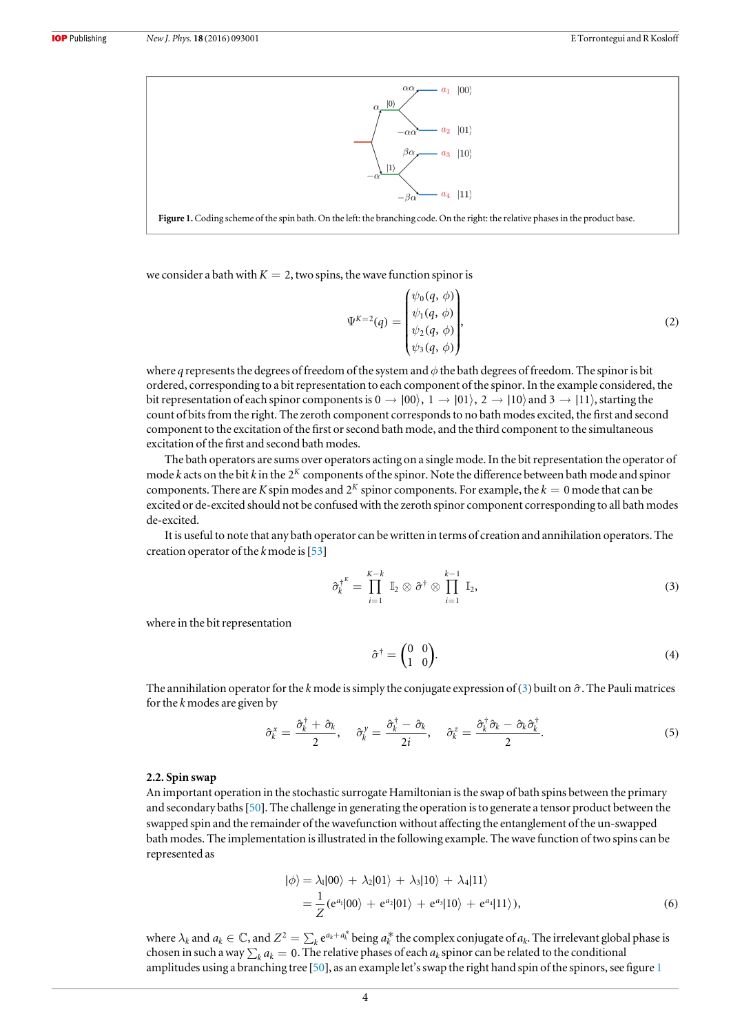<span id="page-3-2"></span>

Figure 1.Coding scheme of the spin bath. On the left: the branching code. On the right: the relative phases in the product base.

we consider a bath with  $K = 2$ , two spins, the wave function spinor is

$$
\Psi^{K=2}(q) = \begin{pmatrix} \psi_0(q, \phi) \\ \psi_1(q, \phi) \\ \psi_2(q, \phi) \\ \psi_3(q, \phi) \end{pmatrix},
$$
\n(2)

where q represents the degrees of freedom of the system and  $\phi$  the bath degrees of freedom. The spinor is bit ordered, corresponding to a bit representation to each component of the spinor. In the example considered, the bit representation of each spinor components is  $0 \to |00\rangle$ ,  $1 \to |01\rangle$ ,  $2 \to |10\rangle$  and  $3 \to |11\rangle$ , starting the count of bits from the right. The zeroth component corresponds to no bath modes excited, the first and second component to the excitation of the first or second bath mode, and the third component to the simultaneous excitation of the first and second bath modes.

The bath operators are sums over operators acting on a single mode. In the bit representation the operator of mode k acts on the bit k in the 2*<sup>K</sup>* components of the spinor. Note the difference between bath mode and spinor components. There are K spin modes and  $2^K$  spinor components. For example, the  $k = 0$  mode that can be excited or de-excited should not be confused with the zeroth spinor component corresponding to all bath modes de-excited.

<span id="page-3-1"></span>It is useful to note that any bath operator can be written in terms of creation and annihilation operators. The creation operator of the  $k$  mode is [[53](#page-13-18)]

$$
\hat{\sigma}_k^{\dagger^K} = \prod_{i=1}^{K-k} \mathbb{I}_2 \otimes \hat{\sigma}^{\dagger} \otimes \prod_{i=1}^{k-1} \mathbb{I}_2, \qquad (3)
$$

where in the bit representation

$$
\hat{\sigma}^{\dagger} = \begin{pmatrix} 0 & 0 \\ 1 & 0 \end{pmatrix} . \tag{4}
$$

The annihilation operator for the k mode is simply the conjugate expression of ([3](#page-3-1)) built on  $\hat{\sigma}$ . The Pauli matrices for the  $k$  modes are given by

$$
\hat{\sigma}_k^x = \frac{\hat{\sigma}_k^{\dagger} + \hat{\sigma}_k}{2}, \quad \hat{\sigma}_k^y = \frac{\hat{\sigma}_k^{\dagger} - \hat{\sigma}_k}{2i}, \quad \hat{\sigma}_k^z = \frac{\hat{\sigma}_k^{\dagger} \hat{\sigma}_k - \hat{\sigma}_k \hat{\sigma}_k^{\dagger}}{2}.
$$
\n
$$
\tag{5}
$$

#### <span id="page-3-0"></span>2.2. Spin swap

<span id="page-3-3"></span>An important operation in the stochastic surrogate Hamiltonian is the swap of bath spins between the primary and secondary baths[[50](#page-13-21)]. The challenge in generating the operation is to generate a tensor product between the swapped spin and the remainder of the wavefunction without affecting the entanglement of the un-swapped bath modes. The implementation is illustrated in the following example. The wave function of two spins can be represented as

$$
|\phi\rangle = \lambda_1|00\rangle + \lambda_2|01\rangle + \lambda_3|10\rangle + \lambda_4|11\rangle
$$
  
=  $\frac{1}{Z}(e^{a_1}|00\rangle + e^{a_2}|01\rangle + e^{a_3}|10\rangle + e^{a_4}|11\rangle),$  (6)

<span id="page-3-4"></span>where  $\lambda_k$  and  $a_k \in \mathbb{C}$ , and  $Z^2 = \sum_k e^{a_k + a_k^*}$  being  $a_k^*$  the complex conjugate of  $a_k$ . The irrelevant global phase is chosen in such a way  $\sum_k a_k = 0$ . The relative phases of each  $a_k$  spinor can be related to the conditional amplitudes using a branching tree [[50](#page-13-21)], as an example let's swap the right hand spin of the spinors, see figure [1](#page-3-2)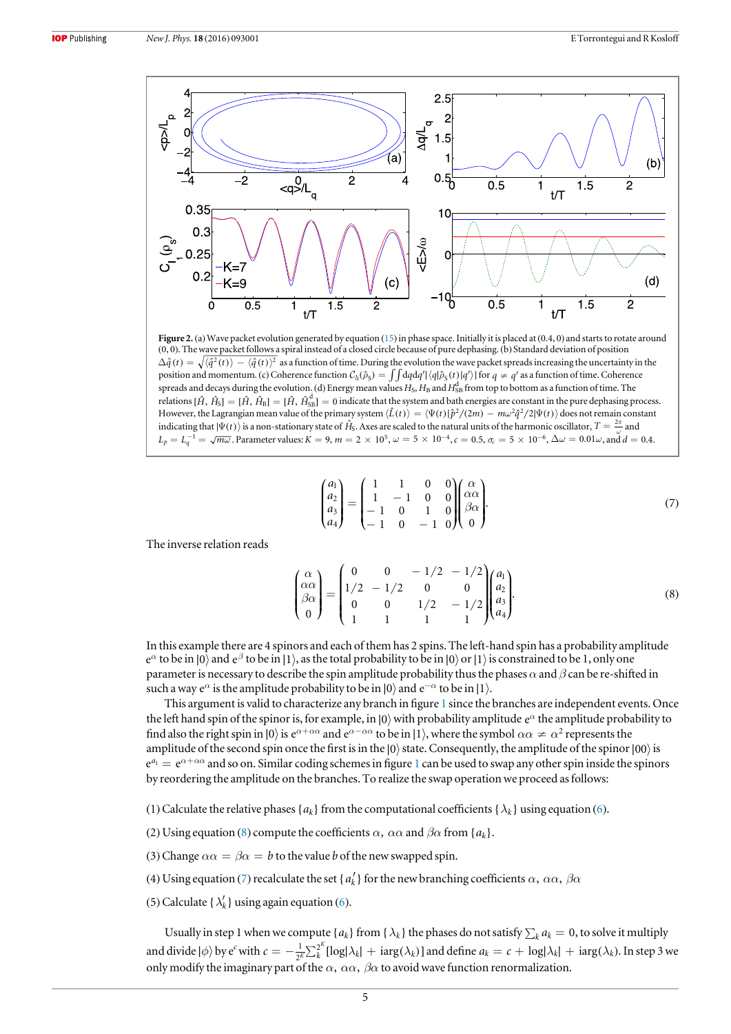<span id="page-4-1"></span>

Figure 2. (a) Wave packet evolution generated by equation ([15](#page-6-0)) in phase space. Initially it is placed at (0.4, 0) and starts to rotate around (0, 0). The wave packet follows a spiral instead of a closed circle because of pure dephasing. (b) Standard deviation of position  $\Delta \hat{q}(t) = \sqrt{\langle \hat{q}^2(t) \rangle - \langle \hat{q}(t) \rangle^2}$  as a function of time. During the evolution the wave packet spreads increasing the uncertainty in the position and momentum. (c) Coherence function  $C_{li}(\hat{\rho}_S) = \int \int dq dq' |\langle q|\hat{\rho}_S(t)|q'\rangle|$  for  $q \neq q'$  as a function of time. Coherence spreads and decays during the evolution. (d) Energy mean values  $H_S$ ,  $H_B$  and  $H_{SB}^d$  from top to bottom as a function of time. The relations  $[\hat{H}, \hat{H}_S] = [\hat{H}, \hat{H}_B] = [\hat{H}, \hat{H}_{SB}^d] = 0$  indicate that the system and bath energies are constant in the pure dephasing process. However, the Lagrangian mean value of the primary system  $\langle \hat{L}(t)\rangle=\langle \Psi(t)|\hat{p}^2/(2m)-m\omega^2\hat{q}^2/2|\Psi(t)\rangle$  does not remain constant indicating that  $|\Psi(t)\rangle$  is a non-stationary state of  $\hat{H}_S$ . Axes are scaled to the natural units of the harmonic oscillator,  $T = \frac{2\pi}{\omega}$  and  $L_p = L_q^{-1} = \sqrt{m\omega}$ . Parameter values:  $K = 9$ ,  $m = 2 \times 10^5$ ,  $\omega = 5 \times 10^{-4}$ ,  $c = 0.5$ ,  $\sigma_{\epsilon} = 5 \times 10^{-6}$ ,  $\Delta \omega = 0.01\omega$ , and  $d = 0.4$ .

$$
\begin{pmatrix} a_1 \\ a_2 \\ a_3 \\ a_4 \end{pmatrix} = \begin{pmatrix} 1 & 1 & 0 & 0 \\ 1 & -1 & 0 & 0 \\ -1 & 0 & 1 & 0 \\ -1 & 0 & -1 & 0 \end{pmatrix} \begin{pmatrix} \alpha \\ \alpha \alpha \\ \beta \alpha \\ 0 \end{pmatrix}.
$$
 (7)

<span id="page-4-0"></span>The inverse relation reads

$$
\begin{pmatrix}\n\alpha \\
\beta\alpha \\
\beta\alpha \\
0\n\end{pmatrix} = \begin{pmatrix}\n0 & 0 & -1/2 & -1/2 \\
1/2 & -1/2 & 0 & 0 \\
0 & 0 & 1/2 & -1/2 \\
1 & 1 & 1 & 1\n\end{pmatrix} \begin{pmatrix}\na_1 \\
a_2 \\
a_3 \\
a_4\n\end{pmatrix}.
$$
\n(8)

In this example there are 4 spinors and each of them has 2 spins. The left-hand spin has a probability amplitude *B*<sup> $\alpha$ </sup> to be in |0⟩ and *e*<sup>β</sup> to be in |1⟩, as the total probability to be in |0⟩ or |1⟩ is constrained to be 1, only one parameter is necessary to describe the spin amplitude probability thus the phases  $\alpha$  and  $\beta$  can be re-shifted in such a way  $e^{\alpha}$  is the amplitude probability to be in  $|0\rangle$  and  $e^{-\alpha}$  to be in  $|1\rangle$ .

This argument is valid to characterize any branch in figure [1](#page-3-2) since the branches are independent events. Once the left hand spin of the spinor is, for example, in  $|0\rangle$  with probability amplitude  $e^{\alpha}$  the amplitude probability to find also the right spin in |0) is  $e^{\alpha + \alpha \alpha}$  and  $e^{\alpha - \alpha \alpha}$  to be in |1), where the symbol  $\alpha \alpha \neq \alpha^2$  represents the amplitude of the second spin once the first is in the  $|0\rangle$  state. Consequently, the amplitude of the spinor  $|00\rangle$  is  $e^{a_1} = e^{\alpha + \alpha \alpha}$  $e^{a_1} = e^{\alpha + \alpha \alpha}$  $e^{a_1} = e^{\alpha + \alpha \alpha}$  and so on. Similar coding schemes in figure 1 can be used to swap any other spin inside the spinors by reordering the amplitude on the branches. To realize the swap operation we proceed as follows:

- (1) Calculate the relative phases { $a_k$ } from the computational coefficients { $\lambda_k$ } using equation ([6](#page-3-3)).
- (2) Using equation ([8](#page-4-0)) compute the coefficients  $\alpha$ ,  $\alpha\alpha$  and  $\beta\alpha$  from  $\{a_k\}$ .
- (3) Change  $\alpha \alpha = \beta \alpha = b$  to the value *b* of the new swapped spin.
- (4) Using equation ([7](#page-3-4)) recalculate the set { $a'_{k}$ } for the new branching coefficients  $\alpha$ ,  $\alpha\alpha$ ,  $\beta\alpha$
- (5) Calculate  $\{\lambda'_k\}$  using again equation ([6](#page-3-3)).

Usually in step 1 when we compute  $\{a_k\}$  from  $\{\lambda_k\}$  the phases do not satisfy  $\sum_k a_k = 0$ , to solve it multiply and divide  $|\phi\rangle$  by e<sup>c</sup> with  $c = -\frac{1}{2^K} \sum_{k=1}^{2^K} [\log |\lambda_k| + \log (\lambda_k)]$  $\frac{1}{K}\sum_{k}^{2}$  $\int_{0}^{K}[\log(\lambda_k)] + \log(\lambda_k)$ ] and define  $a_k = c + \log(\lambda_k) + \log(\lambda_k)$ . In step 3 we only modify the imaginary part of the  $\alpha$ ,  $\alpha\alpha$ ,  $\beta\alpha$  to avoid wave function renormalization.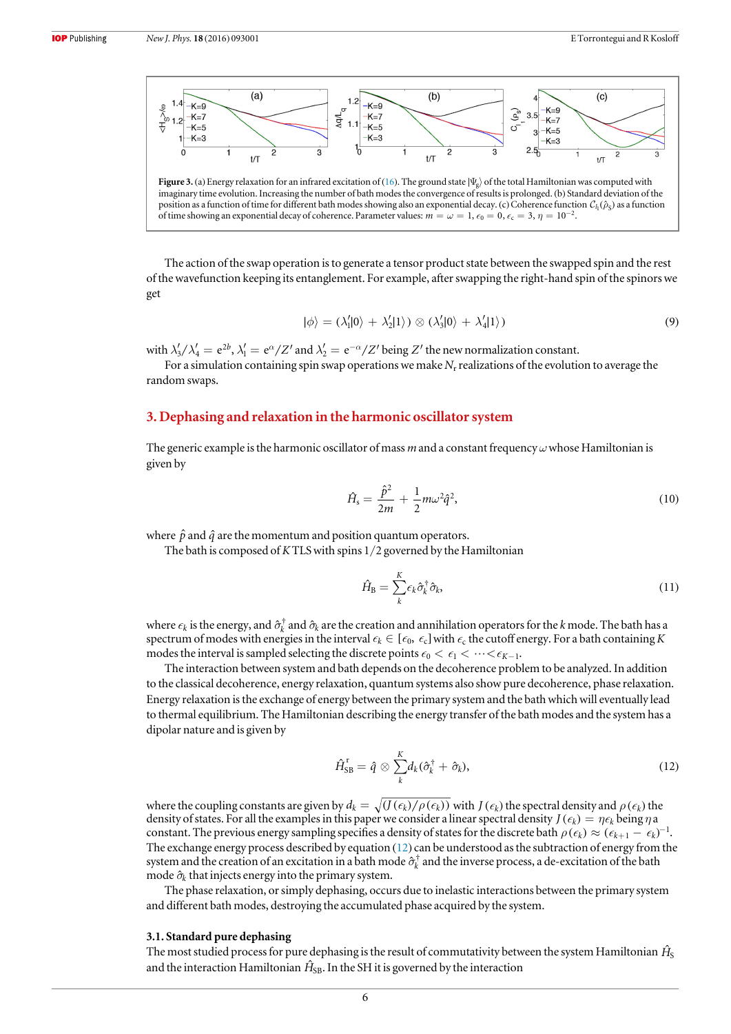<span id="page-5-3"></span>

The action of the swap operation is to generate a tensor product state between the swapped spin and the rest of the wavefunction keeping its entanglement. For example, after swapping the right-hand spin of the spinors we get

$$
|\phi\rangle = (\lambda'_1|0\rangle + \lambda'_2|1\rangle) \otimes (\lambda'_3|0\rangle + \lambda'_4|1\rangle)
$$
\n(9)

with  $\lambda'_3/\lambda'_4=e^{2b}$ ,  $\lambda'_1=e^{\alpha}/Z'$  and  $\lambda'_2=e^{-\alpha}/Z'$  being  $Z'$  the new normalization constant.

For a simulation containing spin swap operations we make  $N_r$  realizations of the evolution to average the random swaps.

#### <span id="page-5-0"></span>3. Dephasing and relaxation in the harmonic oscillator system

The generic example is the harmonic oscillator of mass m and a constant frequency  $\omega$  whose Hamiltonian is given by

$$
\hat{H}_{\rm s} = \frac{\hat{p}^2}{2m} + \frac{1}{2} m \omega^2 \hat{q}^2,\tag{10}
$$

where  $\hat{p}$  and  $\hat{q}$  are the momentum and position quantum operators.

The bath is composed of KTLS with spins 1/2 governed by the Hamiltonian

$$
\hat{H}_{\rm B} = \sum_{k}^{K} \epsilon_k \hat{\sigma}_k^{\dagger} \hat{\sigma}_k, \tag{11}
$$

where  $\epsilon_k$  is the energy, and  $\hat{\sigma}_k^{\dagger}$  and  $\hat{\sigma}_k$  are the creation and annihilation operators for the *k* mode. The bath has a spectrum of modes with energies in the interval  $\epsilon_k \in [\epsilon_0, \epsilon_c]$  with  $\epsilon_c$  the cutoff energy. For a bath containing K modes the interval is sampled selecting the discrete points  $\epsilon_0 < \epsilon_1 < \cdots < \epsilon_{K-1}$ .

<span id="page-5-1"></span>The interaction between system and bath depends on the decoherence problem to be analyzed. In addition to the classical decoherence, energy relaxation, quantum systems also show pure decoherence, phase relaxation. Energy relaxation is the exchange of energy between the primary system and the bath which will eventually lead to thermal equilibrium. The Hamiltonian describing the energy transfer of the bath modes and the system has a dipolar nature and is given by

$$
\hat{H}_{\text{SB}}^{\text{r}} = \hat{q} \otimes \sum_{k}^{K} d_k (\hat{\sigma}_k^{\dagger} + \hat{\sigma}_k), \tag{12}
$$

where the coupling constants are given by  $d_k = \sqrt{(J(\epsilon_k)/\rho(\epsilon_k))}$  with  $J(\epsilon_k)$  the spectral density and  $\rho(\epsilon_k)$  the density of states. For all the examples in this paper we consider a linear spectral density  $J(\epsilon_k) = \eta \epsilon_k$  being  $\eta$  a constant. The previous energy sampling specifies a density of states for the discrete bath  $\rho(\epsilon_k) \approx (\epsilon_{k+1} - \epsilon_k)^{-1}$ . The exchange energy process described by equation ([12](#page-5-1)) can be understood as the subtraction of energy from the system and the creation of an excitation in a bath mode  $\hat{\sigma}_k^{\dagger}$  and the inverse process, a de-excitation of the bath mode  $\hat{\sigma}_k$  that injects energy into the primary system.

The phase relaxation, or simply dephasing, occurs due to inelastic interactions between the primary system and different bath modes, destroying the accumulated phase acquired by the system.

#### <span id="page-5-4"></span>3.1. Standard pure dephasing

<span id="page-5-2"></span>The most studied process for pure dephasing is the result of commutativity between the system Hamiltonian  $\hat{H}_\text{\tiny S}$ and the interaction Hamiltonian  $\hat{H}_\text{SB}$ . In the SH it is governed by the interaction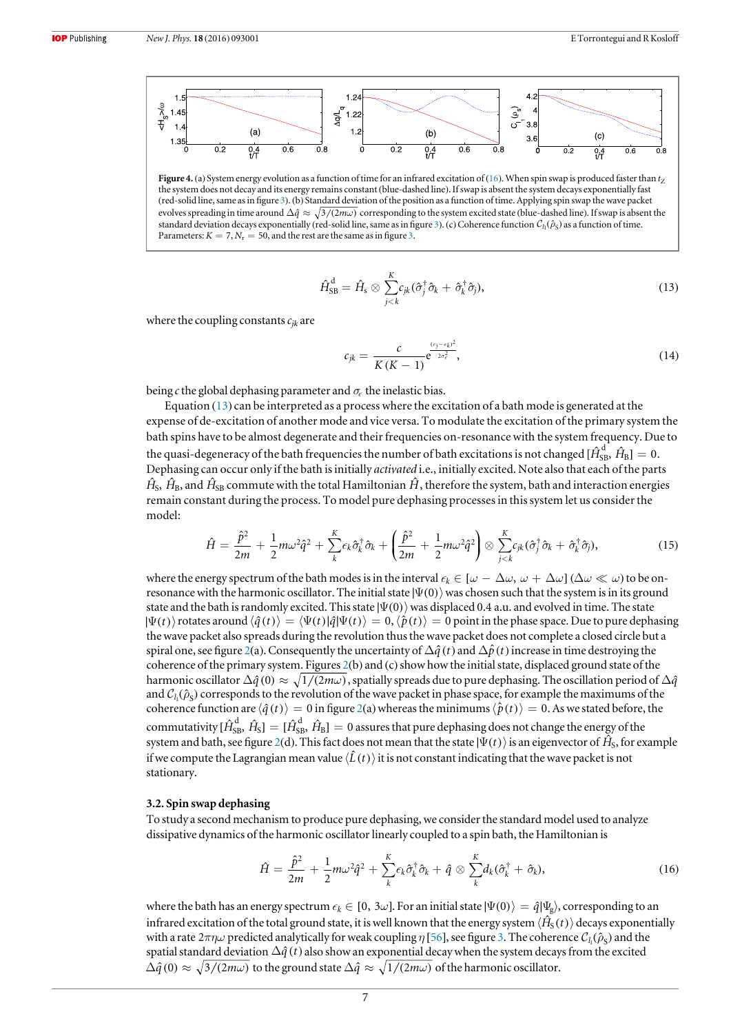<span id="page-6-2"></span>

Figure 4. (a) System energy evolution as a function of time for an infrared excitation of ([16](#page-6-1)). When spin swap is produced faster than  $t_7$ the system does not decay and its energy remains constant (blue-dashed line). If swap is absent the system decays exponentially fast (red-solid line, same as in figure [3](#page-5-3)).(b) Standard deviation of the position as a function of time. Applying spin swap the wave packet evolves spreading in time around  $\Delta \hat{q} \approx \sqrt{3/(2m\omega)}$  corresponding to the system excited state (blue-dashed line). If swap is absent the standard deviation decays exponentially (red-solid line, same as in figure [3](#page-5-3)). (c) Coherence function  $C_i(\hat{\rho}_s)$  as a function of time. Parameters:  $K = 7, N_r = 50$ , and the rest are the same as in figure [3](#page-5-3).

$$
\hat{H}_{\text{SB}}^{\text{d}} = \hat{H}_{\text{s}} \otimes \sum_{j < k}^{K} c_{jk} (\hat{\sigma}_{j}^{\dagger} \hat{\sigma}_{k} + \hat{\sigma}_{k}^{\dagger} \hat{\sigma}_{j}), \tag{13}
$$

where the coupling constants  $c_{ik}$  are

$$
c_{jk} = \frac{c}{K(K-1)} e^{\frac{(\epsilon_j - \epsilon_k)^2}{2\sigma_{\epsilon}^2}},
$$
\n(14)

being c the global dephasing parameter and  $\sigma_{\epsilon}$  the inelastic bias.

Equation  $(13)$  $(13)$  $(13)$  can be interpreted as a process where the excitation of a bath mode is generated at the expense of de-excitation of another mode and vice versa. To modulate the excitation of the primary system the bath spins have to be almost degenerate and their frequencies on-resonance with the system frequency. Due to the quasi-degeneracy of the bath frequencies the number of bath excitations is not changed [ $\hat{H}^{\rm d}_{\rm SB}$ ,  $\hat{H}_{\rm B}$ ]  $=0.$ Dephasing can occur only if the bath is initially *activated* i.e., initially excited. Note also that each of the parts  $\hat{H}_{\rm S}$ ,  $\hat{H}_{\rm B}$ , and  $\hat{H}_{\rm SB}$  commute with the total Hamiltonian  $\hat{H}$ , therefore the system, bath and interaction energies remain constant during the process. To model pure dephasing processes in this system let us consider the model:

<span id="page-6-0"></span>
$$
\hat{H} = \frac{\hat{p}^2}{2m} + \frac{1}{2}m\omega^2\hat{q}^2 + \sum_{k}^{K}\epsilon_k\hat{\sigma}_k^{\dagger}\hat{\sigma}_k + \left(\frac{\hat{p}^2}{2m} + \frac{1}{2}m\omega^2\hat{q}^2\right) \otimes \sum_{j < k}^{K}\epsilon_{jk}(\hat{\sigma}_j^{\dagger}\hat{\sigma}_k + \hat{\sigma}_k^{\dagger}\hat{\sigma}_j),\tag{15}
$$

where the energy spectrum of the bath modes is in the interval  $\epsilon_k \in [\omega - \Delta \omega, \omega + \Delta \omega]$  ( $\Delta \omega \ll \omega$ ) to be onresonance with the harmonic oscillator. The initial state  $|\Psi(0)\rangle$  was chosen such that the system is in its ground state and the bath is randomly excited. This state  $|\Psi(0)\rangle$  was displaced 0.4 a.u. and evolved in time. The state  $|\Psi(t)\rangle$  rotates around  $\langle \hat{q}(t)\rangle = \langle \Psi(t)|\hat{q}|\Psi(t)\rangle = 0$ ,  $\langle \hat{p}(t)\rangle = 0$  point in the phase space. Due to pure dephasing the wave packet also spreads during the revolution thus the wave packet does not complete a closed circle but a spiral one, see figure [2](#page-4-1)(a). Consequently the uncertainty of  $\Delta \hat{q}(t)$  and  $\Delta \hat{p}(t)$  increase in time destroying the coherence of the primary system. Figures [2](#page-4-1)(b) and (c) show how the initial state, displaced ground state of the harmonic oscillator  $\Delta \hat{q}$  (0)  $\approx \sqrt{1/(2m\omega)}$ , spatially spreads due to pure dephasing. The oscillation period of  $\Delta \hat{q}$ and  $C_h(\hat{\rho}_s)$  corresponds to the revolution of the wave packet in phase space, for example the maximums of the coherence function are  $\langle \hat{q}(t) \rangle = 0$  in figure [2](#page-4-1)(a) whereas the minimums  $\langle \hat{p}(t) \rangle = 0$ . As we stated before, the commutativity [ $\hat{H}^{\rm d}_{\rm SB}$ ,  $\hat{H}_{\rm S}$ ]  $=$  [ $\hat{H}^{\rm d}_{\rm SB}$ ,  $\hat{H}_{\rm B}$ ]  $=$  0 assures that pure dephasing does not change the energy of the system and bath, see figure [2](#page-4-1)(d). This fact does not mean that the state  $\ket{\Psi(t)}$  is an eigenvector of  $\hat{H}_{\rm S}$ , for example if we compute the Lagrangian mean value  $\langle \hat{L}(t)\rangle$  it is not constant indicating that the wave packet is not stationary.

#### <span id="page-6-3"></span>3.2. Spin swap dephasing

<span id="page-6-1"></span>To study a second mechanism to produce pure dephasing, we consider the standard model used to analyze dissipative dynamics of the harmonic oscillator linearly coupled to a spin bath, the Hamiltonian is

$$
\hat{H} = \frac{\hat{p}^2}{2m} + \frac{1}{2}m\omega^2\hat{q}^2 + \sum_{k}^{K}\epsilon_k\hat{\sigma}_k^{\dagger}\hat{\sigma}_k + \hat{q} \otimes \sum_{k}^{K}d_k(\hat{\sigma}_k^{\dagger} + \hat{\sigma}_k),
$$
\n(16)

where the bath has an energy spectrum  $\epsilon_k \in [0, 3\omega]$ . For an initial state  $|\Psi(0)\rangle = \hat{q}|\Psi_s\rangle$ , corresponding to an infrared excitation of the total ground state, it is well known that the energy system  $\langle \hat{H}_S(t) \rangle$  decays exponentially with a rate  $2\pi\eta\omega$  predicted analytically for weak coupling  $\eta$  [[56](#page-13-24)], see figure [3](#page-5-3). The coherence  $C_h(\hat{\rho}_s)$  and the spatial standard deviation  $\Delta \hat{q}(t)$  also show an exponential decay when the system decays from the excited  $\Delta \hat{q}(0) \approx \sqrt{3/(2m\omega)}$  to the ground state  $\Delta \hat{q} \approx \sqrt{1/(2m\omega)}$  of the harmonic oscillator.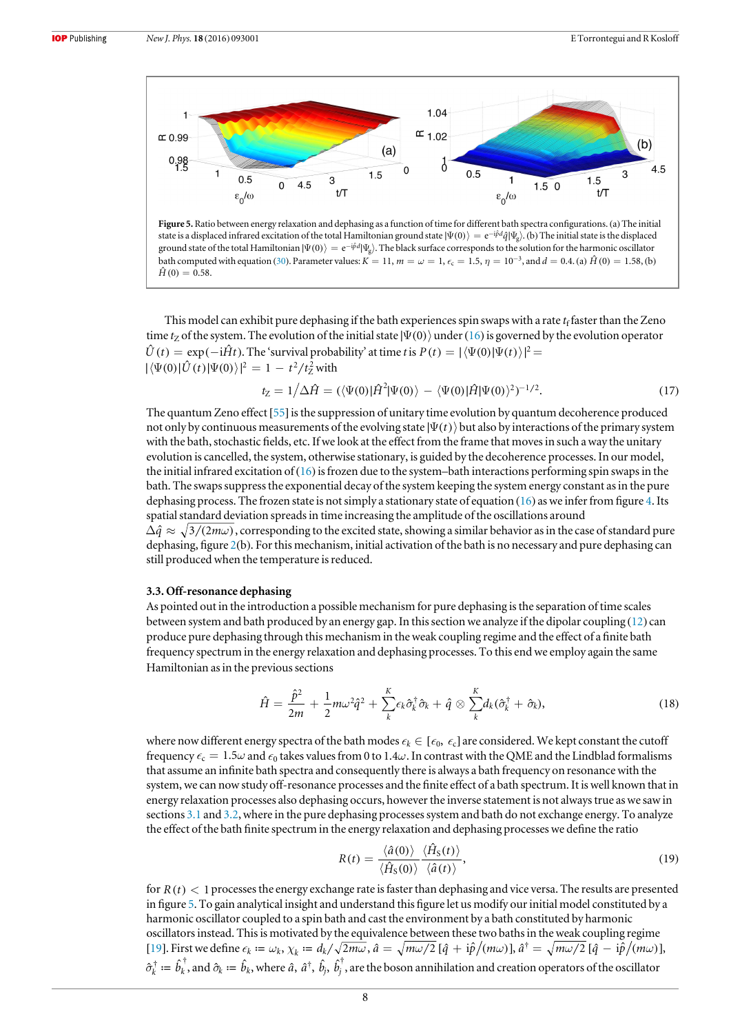<span id="page-7-0"></span>

state is a displaced infrared excitation of the total Hamiltonian ground state  $|\Psi(0)\rangle = e^{-i\hat{p}d}\hat{q}|\Psi_{\alpha}\rangle$ . (b) The initial state is the displaced ground state of the total Hamiltonian  $|\Psi(0)\rangle = e^{-i\beta d}|\Psi_2\rangle$ . The black surface corresponds to the solution for the harmonic oscillator bath computed with equation ([30](#page-8-0)). Parameter values:  $K = 11$ ,  $m = \omega = 1$ ,  $\epsilon_c = 1.5$ ,  $\eta = 10^{-3}$ , and  $d = 0.4$ . (a)  $\hat{H}(0) = 1.58$ , (b)  $\hat{H}(0) = 0.58$ .

This model can exhibit pure dephasing if the bath experiences spin swaps with a rate  $t_f$  faster than the Zeno time t<sub>z</sub> of the system. The evolution of the initial state  $|\Psi(0)\rangle$  under ([16](#page-6-1)) is governed by the evolution operator  $\hat{U}(t) = \exp(-i\hat{H}t)$ . The 'survival probability' at time t is  $P(t) = |\langle \Psi(0) | \Psi(t) \rangle|^2$  $|\langle \Psi(0) | \hat{U}(t) | \Psi(0) \rangle|^2 = 1 - t^2/t_Z^2$  with

$$
t_{Z} = 1/\Delta \hat{H} = (\langle \Psi(0) | \hat{H}^{2} | \Psi(0) \rangle - \langle \Psi(0) | \hat{H} | \Psi(0) \rangle^{2})^{-1/2}.
$$
 (17)

The quantum Zeno effect [[55](#page-13-25)] is the suppression of unitary time evolution by quantum decoherence produced not only by continuous measurements of the evolving state  $|\Psi(t)\rangle$  but also by interactions of the primary system with the bath, stochastic fields, etc. If we look at the effect from the frame that moves in such a way the unitary evolution is cancelled, the system, otherwise stationary, is guided by the decoherence processes. In our model, the initial infrared excitation of  $(16)$  $(16)$  $(16)$  is frozen due to the system–bath interactions performing spin swaps in the bath. The swaps suppress the exponential decay of the system keeping the system energy constant as in the pure dephasing process. The frozen state is not simply a stationary state of equation ([16](#page-6-1)) as we infer from figure [4.](#page-6-2) Its spatial standard deviation spreads in time increasing the amplitude of the oscillations around  $\Delta \hat{q} \approx \sqrt{3/(2m\omega)}$ , corresponding to the excited state, showing a similar behavior as in the case of standard pure dephasing, figure [2](#page-4-1)(b). For this mechanism, initial activation of the bath is no necessary and pure dephasing can still produced when the temperature is reduced.

#### 3.3. Off-resonance dephasing

<span id="page-7-1"></span>As pointed out in the introduction a possible mechanism for pure dephasing is the separation of time scales between system and bath produced by an energy gap. In this section we analyze if the dipolar coupling ([12](#page-5-1)) can produce pure dephasing through this mechanism in the weak coupling regime and the effect of a finite bath frequency spectrum in the energy relaxation and dephasing processes. To this end we employ again the same Hamiltonian as in the previous sections

$$
\hat{H} = \frac{\hat{p}^2}{2m} + \frac{1}{2}m\omega^2\hat{q}^2 + \sum_{k}^{K}\epsilon_k\hat{\sigma}_k^{\dagger}\hat{\sigma}_k + \hat{q} \otimes \sum_{k}^{K}d_k(\hat{\sigma}_k^{\dagger} + \hat{\sigma}_k),
$$
\n(18)

where now different energy spectra of the bath modes  $\epsilon_k \in [\epsilon_0, \epsilon_c]$  are considered. We kept constant the cutoff frequency  $\epsilon_c = 1.5\omega$  and  $\epsilon_0$  takes values from 0 to 1.4 $\omega$ . In contrast with the QME and the Lindblad formalisms that assume an infinite bath spectra and consequently there is always a bath frequency on resonance with the system, we can now study off-resonance processes and the finite effect of a bath spectrum. It is well known that in energy relaxation processes also dephasing occurs, however the inverse statement is not always true as we saw in sections [3.1](#page-5-4) and [3.2](#page-6-3), where in the pure dephasing processes system and bath do not exchange energy. To analyze the effect of the bath finite spectrum in the energy relaxation and dephasing processes we define the ratio

$$
R(t) = \frac{\langle \hat{a}(0) \rangle}{\langle \hat{H}_{\rm S}(0) \rangle} \frac{\langle \hat{H}_{\rm S}(t) \rangle}{\langle \hat{a}(t) \rangle},\tag{19}
$$

for  $R(t)$  < 1 processes the energy exchange rate is faster than dephasing and vice versa. The results are presented in figure [5](#page-7-0). To gain analytical insight and understand this figure let us modify our initial model constituted by a harmonic oscillator coupled to a spin bath and cast the environment by a bath constituted by harmonic oscillators instead. This is motivated by the equivalence between these two baths in the weak coupling regime [[19](#page-12-10)]. First we define  $\epsilon_k := \omega_k$ ,  $\chi_k := d_k / \sqrt{2m\omega}$ ,  $\hat{a} = \sqrt{m\omega/2}$  [ $\hat{q} + i\hat{p}/(m\omega)$ ],  $\hat{a}^\dagger = \sqrt{m\omega/2}$  [ $\hat{q} - i\hat{p}/(m\omega)$ ],  $\hat{\sigma}_k^\dagger\coloneqq\hat{b}_k^\dagger,$  and  $\hat{\sigma}_k\coloneqq\hat{b}_k,$  where  $\hat{a},\ \hat{a}^\dagger,\ \hat{b}_j,\ \hat{b}_j^\dagger,$  are the boson annihilation and creation operators of the oscillator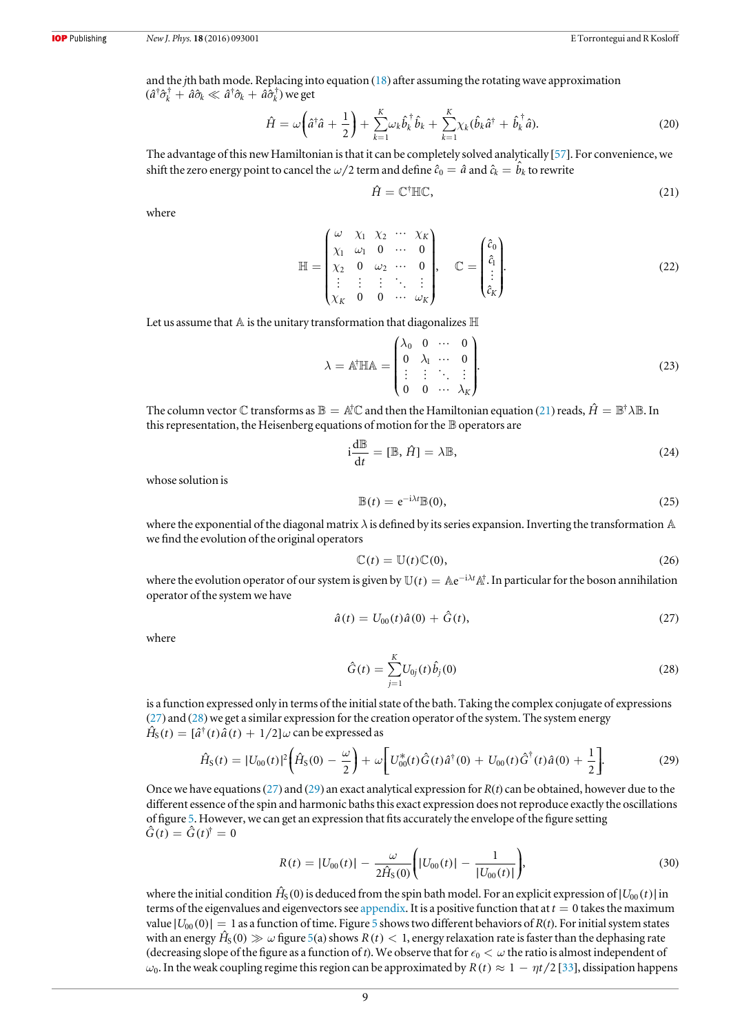<span id="page-8-5"></span>and the jth bath mode. Replacing into equation ([18](#page-7-1)) after assuming the rotating wave approximation  $(\hat{a}^\dagger \hat{\sigma}_k^\dagger + \hat{a} \hat{\sigma}_k \ll \hat{a}^\dagger \hat{\sigma}_k + \hat{a} \hat{\sigma}_k^\dagger)$  we get

$$
\hat{H} = \omega \bigg(\hat{a}^\dagger \hat{a} + \frac{1}{2}\bigg) + \sum_{k=1}^K \omega_k \hat{b}_k^\dagger \hat{b}_k + \sum_{k=1}^K \chi_k (\hat{b}_k \hat{a}^\dagger + \hat{b}_k^\dagger \hat{a}).\tag{20}
$$

<span id="page-8-1"></span>The advantage of this new Hamiltonian is that it can be completely solved analytically [[57](#page-13-26)]. For convenience, we shift the zero energy point to cancel the  $\omega/2$  term and define  $\hat{c}_0 = \hat{a}$  and  $\hat{c}_k = \hat{b}_k$  to rewrite

$$
\hat{H} = \mathbb{C}^{\dagger} \mathbb{H} \mathbb{C},\tag{21}
$$

where

$$
\mathbb{H} = \begin{pmatrix}\n\omega & \chi_1 & \chi_2 & \cdots & \chi_K \\
\chi_1 & \omega_1 & 0 & \cdots & 0 \\
\chi_2 & 0 & \omega_2 & \cdots & 0 \\
\vdots & \vdots & \vdots & \ddots & \vdots \\
\chi_K & 0 & 0 & \cdots & \omega_K\n\end{pmatrix}, \quad \mathbb{C} = \begin{pmatrix}\n\hat{c}_0 \\
\hat{c}_1 \\
\vdots \\
\hat{c}_K\n\end{pmatrix}.
$$
\n(22)

Let us assume that  $\mathbb A$  is the unitary transformation that diagonalizes  $\mathbb H$ 

$$
\lambda = \mathbb{A}^{\dagger} \mathbb{H} \mathbb{A} = \begin{pmatrix} \lambda_0 & 0 & \cdots & 0 \\ 0 & \lambda_1 & \cdots & 0 \\ \vdots & \vdots & \ddots & \vdots \\ 0 & 0 & \cdots & \lambda_K \end{pmatrix} .
$$
 (23)

The column vector  $\mathbb C$  transforms as  $\mathbb B = \mathbb A^{\dagger} \mathbb C$  and then the Hamiltonian equation ([21](#page-8-1)) reads,  $\hat{H} = \mathbb B^{\dagger} \lambda \mathbb B$ . In this representation, the Heisenberg equations of motion for the  $\mathbb B$  operators are

$$
i\frac{d\mathbb{B}}{dt} = [\mathbb{B}, \hat{H}] = \lambda \mathbb{B},\tag{24}
$$

whose solution is

$$
\mathbb{B}(t) = e^{-i\lambda t} \mathbb{B}(0),\tag{25}
$$

where the exponential of the diagonal matrix  $\lambda$  is defined by its series expansion. Inverting the transformation  $\mathbb A$ we find the evolution of the original operators

$$
\mathbb{C}(t) = \mathbb{U}(t)\mathbb{C}(0),\tag{26}
$$

<span id="page-8-2"></span>where the evolution operator of our system is given by  $\mathbb{U}(t) = \mathbb{A}e^{-i\lambda t} \mathbb{A}^{\dagger}$ . In particular for the boson annihilation operator of the system we have

$$
\hat{a}(t) = U_{00}(t)\hat{a}(0) + \hat{G}(t),
$$
\n(27)

<span id="page-8-3"></span>where

$$
\hat{G}(t) = \sum_{j=1}^{K} U_{0j}(t)\hat{b}_j(0)
$$
\n(28)

<span id="page-8-4"></span>is a function expressed only in terms of the initial state of the bath. Taking the complex conjugate of expressions  $(27)$  $(27)$  $(27)$  and  $(28)$  $(28)$  $(28)$  we get a similar expression for the creation operator of the system. The system energy  $\hat{H}_{\rm S}(t) = [\hat{a}^\dagger(t)\hat{a}(t) + 1/2]\omega$  can be expressed as

$$
\hat{H}_S(t) = |U_{00}(t)|^2 \left( \hat{H}_S(0) - \frac{\omega}{2} \right) + \omega \left[ U_{00}^*(t) \hat{G}(t) \hat{a}^\dagger(0) + U_{00}(t) \hat{G}^\dagger(t) \hat{a}(0) + \frac{1}{2} \right].
$$
\n(29)

<span id="page-8-0"></span>Once we have equations ([27](#page-8-2)) and ([29](#page-8-4)) an exact analytical expression for  $R(t)$  can be obtained, however due to the different essence of the spin and harmonic baths this exact expression does not reproduce exactly the oscillations of figure [5](#page-7-0). However, we can get an expression that fits accurately the envelope of the figure setting  $\hat{G}(t) = \hat{G}(t)^{\dagger} = 0$ 

$$
R(t) = |U_{00}(t)| - \frac{\omega}{2\hat{H}_S(0)} \Bigg( |U_{00}(t)| - \frac{1}{|U_{00}(t)|} \Bigg),\tag{30}
$$

where the initial condition  $\hat{H}_{S}(0)$  is deduced from the spin bath model. For an explicit expression of  $|U_{00}(t)|$  in terms of the eigenvalues and eigenvectors see [appendix](#page-11-0). It is a positive function that at  $t = 0$  takes the maximum value  $|U_{00}(0)| = 1$  as a function of time. Figure [5](#page-7-0) shows two different behaviors of  $R(t)$ . For initial system states with an energy  $\hat{H}_{\rm S}(0)\gg\omega$  figure [5](#page-7-0)(a) shows  $R(t)< 1,$  energy relaxation rate is faster than the dephasing rate (decreasing slope of the figure as a function of t). We observe that for  $\epsilon_0 < \omega$  the ratio is almost independent of  $\omega_0$ . In the weak coupling regime this region can be approximated by  $R(t) \approx 1 - \eta t/2$  [[33](#page-13-2)], dissipation happens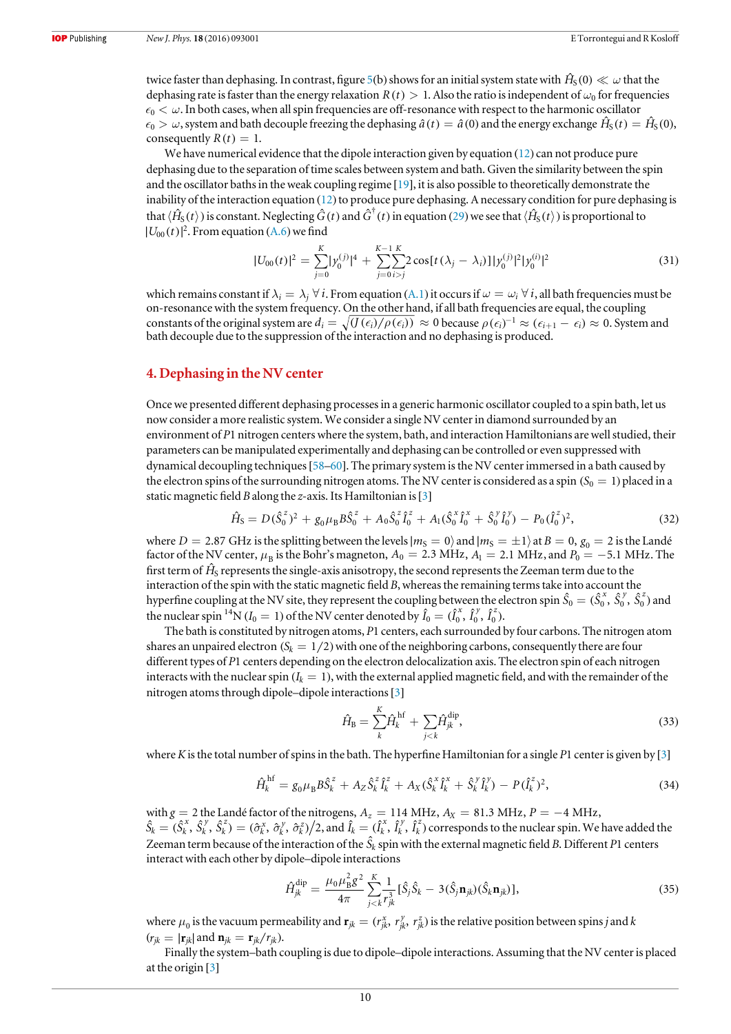twice faster than dephasing. In contrast, figure [5](#page-7-0)(b) shows for an initial system state with  $\hat H_S(0)\ll\omega$  that the dephasing rate is faster than the energy relaxation  $R(t) > 1$ . Also the ratio is independent of  $\omega_0$  for frequencies  $\epsilon_0 < \omega$ . In both cases, when all spin frequencies are off-resonance with respect to the harmonic oscillator  $\epsilon_0 > \omega$ , system and bath decouple freezing the dephasing  $\hat{a}(t) = \hat{a}(0)$  and the energy exchange  $\hat{H}_S(t) = \hat{H}_S(0)$ , consequently  $R(t) = 1$ .

We have numerical evidence that the dipole interaction given by equation ([12](#page-5-1)) can not produce pure dephasing due to the separation of time scales between system and bath. Given the similarity between the spin and the oscillator baths in the weak coupling regime [[19](#page-12-10)], it is also possible to theoretically demonstrate the inability of the interaction equation  $(12)$  $(12)$  $(12)$  to produce pure dephasing. A necessary condition for pure dephasing is that  $\langle \hat{H}_S(t) \rangle$  is constant. Neglecting  $\hat{G}(t)$  and  $\hat{G}^{\dagger}(t)$  in equation ([29](#page-8-4)) we see that  $\langle \hat{H}_S(t) \rangle$  is proportional to  $|U_{00}(t)|^2$ . From equation ([A.6](#page-12-21)) we find

$$
|U_{00}(t)|^2 = \sum_{j=0}^{K} |\mathbf{y}_0^{(j)}|^4 + \sum_{j=0}^{K-1} \sum_{i>j}^{K} 2 \cos[t(\lambda_j - \lambda_i)] |\mathbf{y}_0^{(j)}|^2 |\mathbf{y}_0^{(i)}|^2
$$
(31)

which remains constant if  $\lambda_i = \lambda_j \,\forall \, i$ . From equation ([A.1](#page-11-1)) it occurs if  $\omega = \omega_i \,\forall \, i$ , all bath frequencies must be on-resonance with the system frequency. On the other hand, if all bath frequencies are equal, the coupling constants of the original system are  $d_i = \sqrt{\frac{(f(\epsilon_i)/\rho(\epsilon_i))}{f}} \approx 0$  because  $\rho(\epsilon_i)^{-1} \approx (\epsilon_{i+1} - \epsilon_i) \approx 0$ . System and bath decouple due to the suppression of the interaction and no dephasing is produced.

#### <span id="page-9-0"></span>4. Dephasing in the NV center

Once we presented different dephasing processes in a generic harmonic oscillator coupled to a spin bath, let us now consider a more realistic system. We consider a single NV center in diamond surrounded by an environment of P1 nitrogen centers where the system, bath, and interaction Hamiltonians are well studied, their parameters can be manipulated experimentally and dephasing can be controlled or even suppressed with dynamical decoupling techniques[[58](#page-13-27)–[60](#page-13-28)]. The primary system is the NV center immersed in a bath caused by the electron spins of the surrounding nitrogen atoms. The NV center is considered as a spin  $(S_0 = 1)$  placed in a static magnetic field B along the z-axis. Its Hamiltonian is [[3](#page-12-22)]

$$
\hat{H}_{\rm S} = D(\hat{S}_0^z)^2 + g_0 \mu_{\rm B} B \hat{S}_0^z + A_0 \hat{S}_0^z \hat{I}_0^z + A_1 (\hat{S}_0^x \hat{I}_0^x + \hat{S}_0^y \hat{I}_0^y) - P_0 (\hat{I}_0^z)^2, \tag{32}
$$

<span id="page-9-1"></span>where *D* = 2.87 GHz is the splitting between the levels  $|m_S = 0\rangle$  and  $|m_S = \pm 1\rangle$  at *B* = 0,  $g_0 = 2$  is the Landé factor of the NV center,  $\mu_B$  is the Bohr's magneton,  $A_0 = 2.3 \text{ MHz}$ ,  $A_1 = 2.1 \text{ MHz}$ , and  $P_0 = -5.1 \text{ MHz}$ . The first term of  $\hat{H}_{\rm S}$  represents the single-axis anisotropy, the second represents the Zeeman term due to the interaction of the spin with the static magnetic field  $B$ , whereas the remaining terms take into account the hyperfine coupling at the NV site, they represent the coupling between the electron spin  $\hat{S}_0=(\hat{S}_0^x,\hat{S}_0^y,\hat{S}_0^z)$  and the nuclear spin <sup>14</sup>N ( $I_0 = 1$ ) of the NV center denoted by  $\hat{I}_0 = (\hat{I}_0^x, \hat{I}_0^y, \hat{I}_0^z)$ .

The bath is constituted by nitrogen atoms, P1 centers, each surrounded by four carbons. The nitrogen atom shares an unpaired electron  $(S_k = 1/2)$  with one of the neighboring carbons, consequently there are four different types of P1 centers depending on the electron delocalization axis. The electron spin of each nitrogen interacts with the nuclear spin  $(I_k = 1)$ , with the external applied magnetic field, and with the remainder of the nitrogen atoms through dipole–dipole interactions[[3](#page-12-22)]

$$
\hat{H}_{\rm B} = \sum_{k}^{K} \hat{H}_{k}^{\rm hf} + \sum_{j < k} \hat{H}_{jk}^{\rm dip},\tag{33}
$$

<span id="page-9-4"></span>where K is the total number of spins in the bath. The hyperfine Hamiltonian for a single P1 center is given by  $[3]$  $[3]$  $[3]$ 

$$
\hat{H}_k^{\text{hf}} = g_0 \mu_\text{B} B \hat{S}_k^z + A_Z \hat{S}_k^z \hat{I}_k^z + A_X (\hat{S}_k^x \hat{I}_k^x + \hat{S}_k^y \hat{I}_k^y) - P(\hat{I}_k^z)^2, \tag{34}
$$

<span id="page-9-2"></span>with  $g = 2$  the Landé factor of the nitrogens,  $A_z = 114 \text{ MHz}$ ,  $A_x = 81.3 \text{ MHz}$ ,  $P = -4 \text{ MHz}$ ,  $\hat{S}_k = (\hat{S}_k^x, \hat{S}_k^y, \hat{S}_k^z) = (\hat{\sigma}_k^x, \hat{\sigma}_k^y, \hat{\sigma}_k^z)/2$ *y k z*  $(\hat{k}, \hat{\sigma}_k^y, \hat{\sigma}_k^z)/2$ , and  $\hat{l}_k = (\hat{l}_k^x, \hat{l}_k^y, \hat{l}_k^z)$ *k y*  $\hat{h}_k^z$ ) corresponds to the nuclear spin. We have added the Zeeman term because of the interaction of the  $\hat{S}_k$  spin with the external magnetic field B. Different P1 centers interact with each other by dipole–dipole interactions

$$
\hat{H}_{jk}^{\text{dip}} = \frac{\mu_0 \mu_B^2 g^2}{4\pi} \sum_{j < k}^K \frac{1}{r_{jk}^3} [\hat{S}_j \hat{S}_k - 3(\hat{S}_j \mathbf{n}_{jk}) (\hat{S}_k \mathbf{n}_{jk})],\tag{35}
$$

where  $\mu_0$  is the vacuum permeability and  $\mathbf{r}_{jk} = (r_{jk}^x, r_{jk}^y, r_{jk}^z)$  is the relative position between spins j and k  $(r_{jk} = |\mathbf{r}_{jk}|$  and  $\mathbf{n}_{jk} = \mathbf{r}_{jk}/r_{jk}$ .

<span id="page-9-3"></span>Finally the system–bath coupling is due to dipole–dipole interactions. Assuming that the NV center is placed at the origin [[3](#page-12-22)]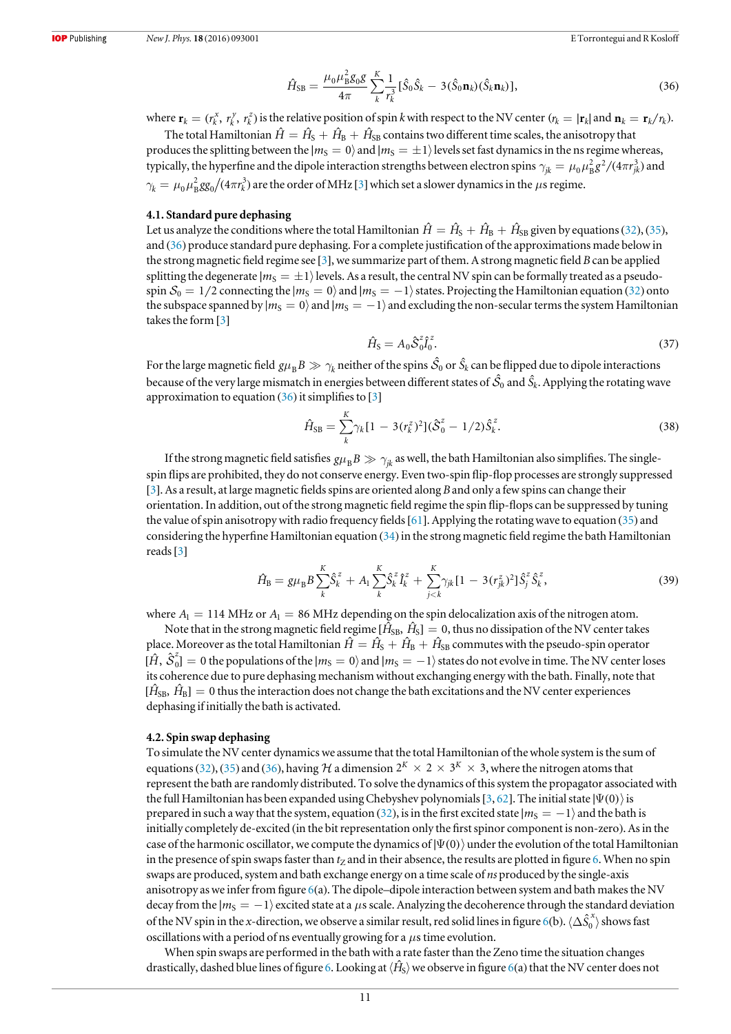$$
\hat{H}_{\rm SB} = \frac{\mu_0 \mu_{\rm B}^2 g_0 g}{4\pi} \sum_{k}^{K} \frac{1}{r_k^3} [\hat{S}_0 \hat{S}_k - 3(\hat{S}_0 \mathbf{n}_k)(\hat{S}_k \mathbf{n}_k)],\tag{36}
$$

where  $\mathbf{r}_k = (r_k^x, r_k^y, r_k^z)$  is the relative position of spin k with respect to the NV center  $(r_k = |\mathbf{r}_k|$  and  $\mathbf{n}_k = \mathbf{r}_k/r_k$ ).

The total Hamiltonian  $\hat{H} = \hat{H}_{S} + \hat{H}_{B} + \hat{H}_{SB}$  contains two different time scales, the anisotropy that produces the splitting between the  $|m_S = 0\rangle$  and  $|m_S = \pm 1\rangle$  levels set fast dynamics in the ns regime whereas, typically, the hyperfine and the dipole interaction strengths between electron spins  $\gamma_{ik} = \mu_0 \mu_B^2 g^2/(4\pi r_{ik}^3)$  and  $\gamma_k = \mu_0 \mu_B^2 gg_0/(4\pi r_k^3)$  $\gamma_k = \mu_0 \mu_B^2 gg_0/(4\pi r_k^3)$  $\gamma_k = \mu_0 \mu_B^2 gg_0/(4\pi r_k^3)$  are the order of MHz [3] which set a slower dynamics in the  $\mu$ s regime.

#### 4.1. Standard pure dephasing

Let us analyze the conditions where the total Hamiltonian  $\hat{H} = \hat{H}_{S} + \hat{H}_{B} + \hat{H}_{SB}$  given by equations ([32](#page-9-1)), ([35](#page-9-2)), and ([36](#page-9-3)) produce standard pure dephasing. For a complete justification of the approximations made below in the strong magnetic field regime see [[3](#page-12-22)], we summarize part of them. A strong magnetic field B can be applied splitting the degenerate  $|m_S = \pm 1\rangle$  levels. As a result, the central NV spin can be formally treated as a pseudospin  $S_0 = 1/2$  connecting the  $|m_S = 0\rangle$  and  $|m_S = -1\rangle$  states. Projecting the Hamiltonian equation ([32](#page-9-1)) onto the subspace spanned by  $|m_S = 0\rangle$  and  $|m_S = -1\rangle$  and excluding the non-secular terms the system Hamiltonian takes the form [[3](#page-12-22)]

$$
\hat{H}_{\rm S} = A_0 \hat{\mathcal{S}}_0^z \hat{I}_0^z. \tag{37}
$$

For the large magnetic field  $g\mu_B B\gg\gamma_k$  neither of the spins  $\hat S_0$  or  $\hat S_k$  can be flipped due to dipole interactions because of the very large mismatch in energies between different states of  $\hat{\mathcal{S}}_0$  and  $\hat{\mathcal{S}}_k$ . Applying the rotating wave approximation to equation  $(36)$  $(36)$  $(36)$  it simplifies to  $[3]$  $[3]$  $[3]$ 

$$
\hat{H}_{\rm SB} = \sum_{k}^{K} \gamma_k [1 - 3(r_k^z)^2] (\hat{\mathcal{S}}_0^z - 1/2) \hat{S}_k^z.
$$
\n(38)

If the strong magnetic field satisfies  $g\mu_B B \gg \gamma_{ik}$  as well, the bath Hamiltonian also simplifies. The singlespin flips are prohibited, they do not conserve energy. Even two-spin flip-flop processes are strongly suppressed [[3](#page-12-22)]. As a result, at large magnetic fields spins are oriented along B and only a few spins can change their orientation. In addition, out of the strong magnetic field regime the spin flip-flops can be suppressed by tuning the value of spin anisotropy with radio frequency fields [[61](#page-13-29)]. Applying the rotating wave to equation ([35](#page-9-2)) and considering the hyperfine Hamiltonian equation  $(34)$  $(34)$  $(34)$  in the strong magnetic field regime the bath Hamiltonian reads[[3](#page-12-22)]

$$
\hat{H}_{\rm B} = g\mu_{\rm B}B\sum_{k}^K \hat{S}_k^z + A_1 \sum_{k}^K \hat{S}_k^z \hat{I}_k^z + \sum_{j < k}^K \gamma_{jk} [1 - 3(r_{jk}^z)^2] \hat{S}_j^z \hat{S}_k^z,\tag{39}
$$

where  $A_1 = 114$  MHz or  $A_1 = 86$  MHz depending on the spin delocalization axis of the nitrogen atom.

Note that in the strong magnetic field regime  $[\hat{H}_{SB}, \hat{H}_S] = 0$ , thus no dissipation of the NV center takes place. Moreover as the total Hamiltonian  $\hat{H} = \hat{H}_{S} + \hat{H}_{B} + \hat{H}_{SB}$  commutes with the pseudo-spin operator  $[\hat{H}, \hat{S}_0^z] = 0$  the populations of the  $|m_S = 0\rangle$  and  $|m_S = -1\rangle$  states do not evolve in time. The NV center loses its coherence due to pure dephasing mechanism without exchanging energy with the bath. Finally, note that  $[\hat{H}_{SB}, \hat{H}_B] = 0$  thus the interaction does not change the bath excitations and the NV center experiences dephasing if initially the bath is activated.

#### 4.2. Spin swap dephasing

To simulate the NV center dynamics we assume that the total Hamiltonian of the whole system is the sum of equations ([32](#page-9-1)), ([35](#page-9-2)) and ([36](#page-9-3)), having H a dimension  $2^{K} \times 2 \times 3^{K} \times 3$ , where the nitrogen atoms that represent the bath are randomly distributed. To solve the dynamics of this system the propagator associated with the full Hamiltonian has been expanded using Chebyshev polynomials [[3,](#page-12-22) [62](#page-13-30)]. The initial state  $|\Psi(0)\rangle$  is prepared in such a way that the system, equation ([32](#page-9-1)), is in the first excited state  $|m_S = -1\rangle$  and the bath is initially completely de-excited (in the bit representation only the first spinor component is non-zero). As in the case of the harmonic oscillator, we compute the dynamics of  $|\Psi(0)\rangle$  under the evolution of the total Hamiltonian in the presence of spin swaps faster than  $t<sub>Z</sub>$  and in their absence, the results are plotted in figure [6.](#page-11-2) When no spin swaps are produced, system and bath exchange energy on a time scale of *ns* produced by the single-axis anisotropy as we infer from figure [6](#page-11-2)(a). The dipole–dipole interaction between system and bath makes the NV decay from the  $|m_S = -1\rangle$  excited state at a µs scale. Analyzing the decoherence through the standard deviation of the NV spin in the x-direction, we observe a similar result, red solid lines in figure [6](#page-11-2)(b).  $\langle\Delta\hat{S}_0^x\rangle$  shows fast oscillations with a period of ns eventually growing for a  $\mu$ s time evolution.

When spin swaps are performed in the bath with a rate faster than the Zeno time the situation changes drastically, dashed blue lines of figure [6.](#page-11-2) Looking at  $\langle\hat{H}_\text{S}\rangle$  we observe in figure  $6$ (a) that the NV center does not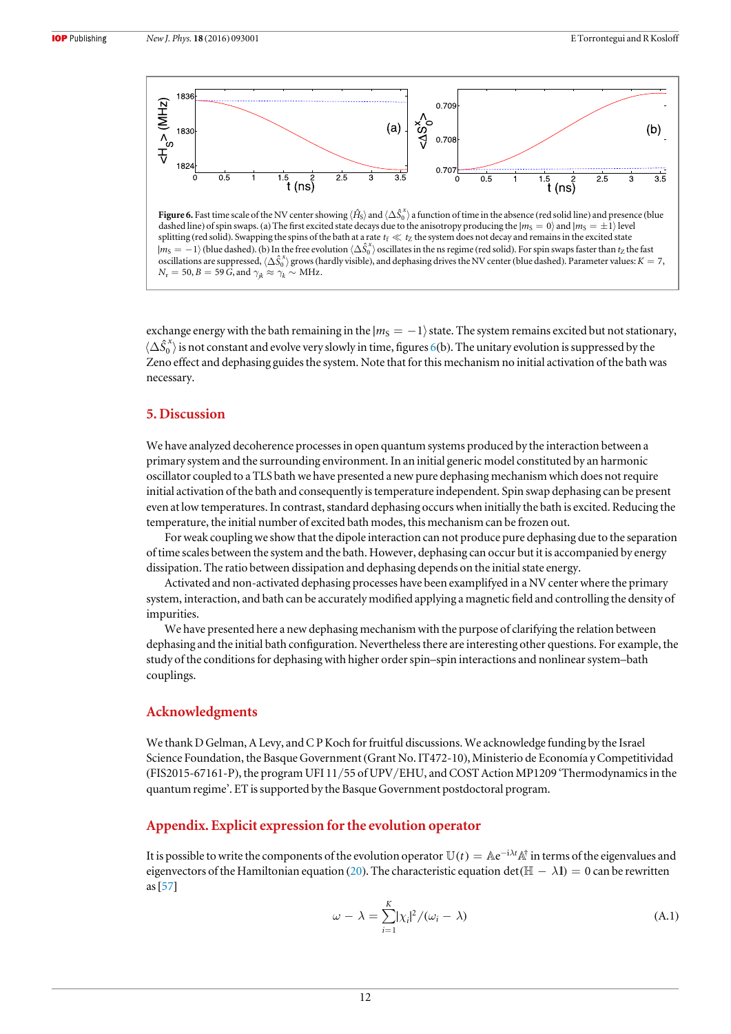<span id="page-11-2"></span>

dashed line) of spin swaps. (a) The first excited state decays due to the anisotropy producing the  $|m_S = 0\rangle$  and  $|m_S = \pm 1\rangle$  level splitting (red solid). Swapping the spins of the bath at a rate  $t_f \ll t_Z$  the system does not decay and remains in the excited state  $|m_S = -1\rangle$  (blue dashed). (b) In the free evolution  $\langle \Delta \hat{S}_0^x \rangle$  oscillates in the ns regime (red solid). For spin swaps faster than  $t_Z$  the fast oscillations are suppressed,  $\langle\Delta\hat{S}_0^x\rangle$  grows (hardly visible), and dephasing drives the NV center (blue dashed). Parameter values:  $K=7$ ,  $N_{\rm r} = 50, B = 59$   $\mathrm{\widetilde{G}},$  and  $\gamma_{jk} \approx \gamma_k \sim \mathrm{MHz}$ .

exchange energy with the bath remaining in the  $|m_S = -1\rangle$  state. The system remains excited but not stationary,  $\langle\Delta\hat{S}_0^x\rangle$  is not constant and evolve very slowly in time, figures [6](#page-11-2)(b). The unitary evolution is suppressed by the Zeno effect and dephasing guides the system. Note that for this mechanism no initial activation of the bath was necessary.

### 5. Discussion

We have analyzed decoherence processes in open quantum systems produced by the interaction between a primary system and the surrounding environment. In an initial generic model constituted by an harmonic oscillator coupled to a TLS bath we have presented a new pure dephasing mechanism which does not require initial activation of the bath and consequently is temperature independent. Spin swap dephasing can be present even at low temperatures. In contrast, standard dephasing occurs when initially the bath is excited. Reducing the temperature, the initial number of excited bath modes, this mechanism can be frozen out.

For weak coupling we show that the dipole interaction can not produce pure dephasing due to the separation of time scales between the system and the bath. However, dephasing can occur but it is accompanied by energy dissipation. The ratio between dissipation and dephasing depends on the initial state energy.

Activated and non-activated dephasing processes have been examplifyed in a NV center where the primary system, interaction, and bath can be accurately modified applying a magnetic field and controlling the density of impurities.

We have presented here a new dephasing mechanism with the purpose of clarifying the relation between dephasing and the initial bath configuration. Nevertheless there are interesting other questions. For example, the study of the conditions for dephasing with higher order spin–spin interactions and nonlinear system–bath couplings.

#### Acknowledgments

We thank D Gelman, A Levy, and C P Koch for fruitful discussions. We acknowledge funding by the Israel Science Foundation, the Basque Government (Grant No. IT472-10), Ministerio de Economía y Competitividad (FIS2015-67161-P), the program UFI 11/55 of UPV/EHU, and COST Action MP1209 'Thermodynamics in the quantum regime'. ET is supported by the Basque Government postdoctoral program.

#### <span id="page-11-0"></span>Appendix. Explicit expression for the evolution operator

<span id="page-11-1"></span>It is possible to write the components of the evolution operator  $\mathbb{U}(t) = \mathbb{A}e^{-i\lambda t} \mathbb{A}^{\dagger}$  in terms of the eigenvalues and eigenvectors of the Hamiltonian equation ([20](#page-8-5)). The characteristic equation det ( $\mathbb{H} - \lambda \mathbb{I}$ ) = 0 can be rewritten as[[57](#page-13-26)]

$$
\omega - \lambda = \sum_{i=1}^{K} |\chi_i|^2 / (\omega_i - \lambda)
$$
 (A.1)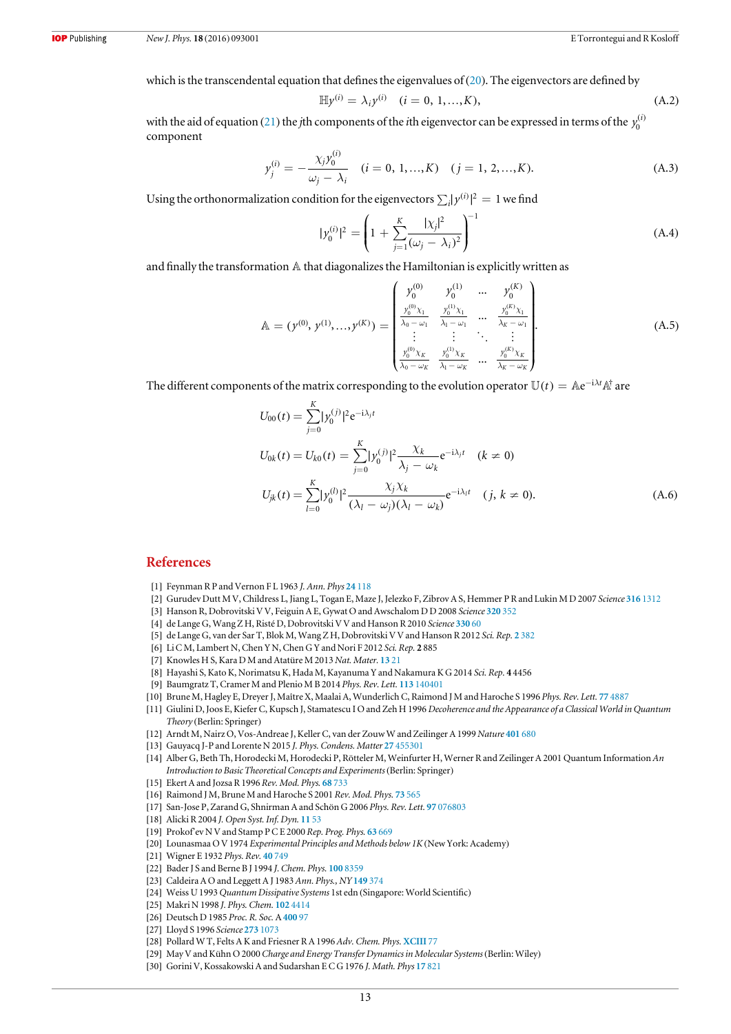which is the transcendental equation that defines the eigenvalues of  $(20)$  $(20)$  $(20)$ . The eigenvectors are defined by

$$
\mathbb{H}y^{(i)} = \lambda_i y^{(i)} \quad (i = 0, 1, ..., K), \tag{A.2}
$$

with the aid of equation ([21](#page-8-1)) the *j*th components of the *i*th eigenvector can be expressed in terms of the  $y_0^{(i)}$ component

$$
y_j^{(i)} = -\frac{\chi_j y_0^{(i)}}{\omega_j - \lambda_i} \quad (i = 0, 1, ..., K) \quad (j = 1, 2, ..., K). \tag{A.3}
$$

Using the orthonormalization condition for the eigenvectors  $\sum_i |y^{(i)}|^2 = 1$  we find

$$
|y_0^{(i)}|^2 = \left(1 + \sum_{j=1}^K \frac{|\chi_j|^2}{(\omega_j - \lambda_i)^2}\right)^{-1}
$$
 (A.4)

and finally the transformation A that diagonalizes the Hamiltonian is explicitly written as

$$
\mathbb{A} = (y^{(0)}, y^{(1)}, \dots, y^{(K)}) = \begin{pmatrix} y_0^{(0)} & y_0^{(1)} & \dots & y_0^{(K)} \\ \frac{y_0^{(0)} \chi_1}{\lambda_0 - \omega_1} & \frac{y_0^{(1)} \chi_1}{\lambda_1 - \omega_1} & \dots & \frac{y_0^{(K)} \chi_1}{\lambda_K - \omega_1} \\ \vdots & \vdots & \ddots & \vdots \\ \frac{y_0^{(0)} \chi_K}{\lambda_0 - \omega_K} & \frac{y_0^{(1)} \chi_K}{\lambda_1 - \omega_K} & \dots & \frac{y_0^{(K)} \chi_K}{\lambda_K - \omega_K} \end{pmatrix} .
$$
\n(A.5)

<span id="page-12-21"></span>The different components of the matrix corresponding to the evolution operator  $\mathbb{U}(t) = \mathbb{A}e^{-i\lambda t}\mathbb{A}^{\dagger}$  are

$$
U_{00}(t) = \sum_{j=0}^{K} |y_0^{(j)}|^2 e^{-i\lambda_j t}
$$
  
\n
$$
U_{0k}(t) = U_{k0}(t) = \sum_{j=0}^{K} |y_0^{(j)}|^2 \frac{\chi_k}{\lambda_j - \omega_k} e^{-i\lambda_j t} \quad (k \neq 0)
$$
  
\n
$$
U_{jk}(t) = \sum_{l=0}^{K} |y_0^{(l)}|^2 \frac{\chi_j \chi_k}{(\lambda_l - \omega_j)(\lambda_l - \omega_k)} e^{-i\lambda_l t} \quad (j, k \neq 0).
$$
\n(A.6)

#### References

- <span id="page-12-0"></span>[1] Feynman R P and Vernon F L 1963 J. Ann. Phys 24 [118](http://dx.doi.org/10.1016/0003-4916(63)90068-X)
- <span id="page-12-1"></span>[2] Gurudev Dutt M V, Childress L, Jiang L, Togan E, Maze J, Jelezko F, Zibrov A S, Hemmer P R and Lukin M D 2007 Science 316 [1312](http://dx.doi.org/10.1126/science.1139831)
- <span id="page-12-22"></span>[3] Hanson R, Dobrovitski V V, Feiguin A E, Gywat O and Awschalom D D 2008 Science [320](http://dx.doi.org/10.1126/science.1155400) 352
- [4] de Lange G, Wang Z H, Risté D, Dobrovitski V V and Hanson R 2010 Science [330](http://dx.doi.org/10.1126/science.1192739) 60
- [5] de Lange G, van der Sar T, Blok M, Wang Z H, Dobrovitski V V and Hanson R 2012 Sci. Rep. 2 [382](http://dx.doi.org/10.1038/srep00382)
- [6] Li C M, Lambert N, Chen Y N, Chen G Y and Nori F 2012 Sci. Rep. 2 885
- [7] Knowles H S, Kara D M and Atatüre M 2013 Nat. Mater. [13](http://dx.doi.org/10.1038/nmat3805) 21
- [8] Hayashi S, Kato K, Norimatsu K, Hada M, Kayanuma Y and Nakamura K G 2014 Sci. Rep. 4 4456
- <span id="page-12-2"></span>[9] Baumgratz T, Cramer M and Plenio M B 2014 Phys. Rev. Lett. 113 [140401](http://dx.doi.org/10.1103/PhysRevLett.113.140401)
- <span id="page-12-3"></span>[10] Brune M, Hagley E, Dreyer J, Maître X, Maalai A, Wunderlich C, Raimond J M and Haroche S 1996 Phys. Rev. Lett. 77 [4887](http://dx.doi.org/10.1103/PhysRevLett.77.4887)
- [11] Giulini D, Joos E, Kiefer C, Kupsch J, Stamatescu I O and Zeh H 1996 Decoherence and the Appearance of a Classical World in Quantum Theory (Berlin: Springer)
- [12] Arndt M, Nairz O, Vos-Andreae J, Keller C, van der Zouw W and Zeilinger A 1999 Nature [401](http://dx.doi.org/10.1038/44348) 680
- <span id="page-12-4"></span>[13] Gauyacq J-P and Lorente N 2015 J. Phys. Condens. Matter 27 [455301](http://dx.doi.org/10.1088/0953-8984/27/45/455301)
- <span id="page-12-5"></span>[14] Alber G, Beth Th, Horodecki M, Horodecki P, Rötteler M, Weinfurter H, Werner R and Zeilinger A 2001 Quantum Information An Introduction to Basic Theoretical Concepts and Experiments (Berlin: Springer)
- <span id="page-12-7"></span><span id="page-12-6"></span>[15] Ekert A and Jozsa R 1996 Rev. Mod. Phys. 68 [733](http://dx.doi.org/10.1103/RevModPhys.68.733)
- [16] Raimond J M, Brune M and Haroche S 2001 Rev. Mod. Phys. 73 [565](http://dx.doi.org/10.1103/RevModPhys.73.565)
- <span id="page-12-8"></span>[17] San-Jose P, Zarand G, Shnirman A and Schön G 2006 Phys. Rev. Lett. 97 [076803](http://dx.doi.org/10.1103/PhysRevLett.97.076803)
- <span id="page-12-9"></span>[18] Alicki R 2004 J. Open Syst. Inf. Dyn. [11](http://dx.doi.org/10.1023/B:OPSY.0000024755.58888.ac) 53
- <span id="page-12-10"></span>[19] Prokof'ev N V and Stamp P C E 2000 Rep. Prog. Phys. 63 [669](http://dx.doi.org/10.1088/0034-4885/63/4/204)
- <span id="page-12-11"></span>[20] Lounasmaa O V 1974 Experimental Principles and Methods below 1K(New York: Academy)
- <span id="page-12-12"></span>[21] Wigner E 1932 Phys. Rev. 40 [749](http://dx.doi.org/10.1103/PhysRev.40.749)
- <span id="page-12-13"></span>[22] Bader J S and Berne B J 1994 J. Chem. Phys. 100 [8359](http://dx.doi.org/10.1063/1.466780)
- <span id="page-12-14"></span>[23] Caldeira A O and Leggett A J 1983 Ann. Phys., NY [149](http://dx.doi.org/10.1016/0003-4916(83)90202-6) 374
- [24] Weiss U 1993 Quantum Dissipative Systems 1st edn (Singapore: World Scientific)
- <span id="page-12-15"></span>[25] Makri N 1998 J. Phys. Chem. 102 [4414](http://dx.doi.org/10.1021/jp980359y)
- <span id="page-12-16"></span>[26] Deutsch D 1985 Proc. R. Soc. A [400](http://dx.doi.org/10.1098/rspa.1985.0070) 97
- <span id="page-12-17"></span>[27] Lloyd S 1996 Science 273 [1073](http://dx.doi.org/10.1126/science.273.5278.1073)
- <span id="page-12-18"></span>[28] Pollard W T, Felts A K and Friesner R A 1996 Adv. Chem. Phys. [XCIII](http://dx.doi.org/10.1002/9780470141526.ch3) 77
- <span id="page-12-19"></span>[29] May V and Kühn O 2000 Charge and Energy Transfer Dynamics in Molecular Systems (Berlin: Wiley)
- <span id="page-12-20"></span>[30] Gorini V, Kossakowski A and Sudarshan E C G 1976 J. Math. Phys 17 [821](http://dx.doi.org/10.1063/1.522979)